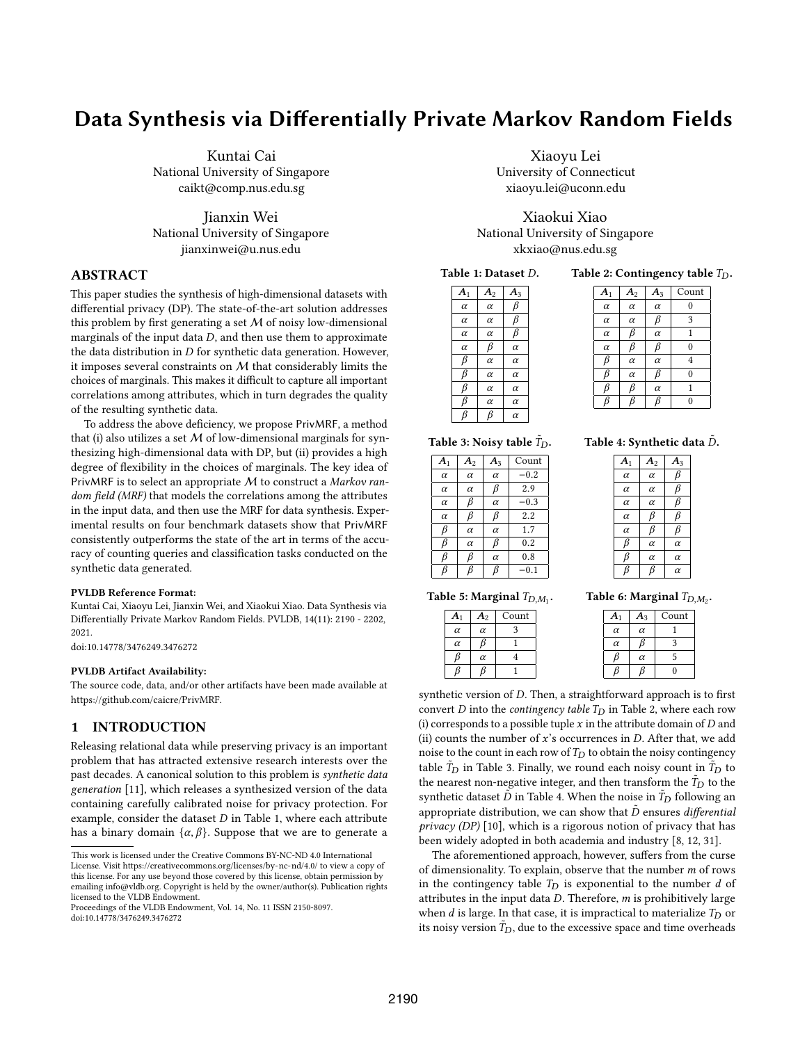# Data Synthesis via Differentially Private Markov Random Fields

Kuntai Cai National University of Singapore caikt@comp.nus.edu.sg

Jianxin Wei National University of Singapore jianxinwei@u.nus.edu

# ABSTRACT

This paper studies the synthesis of high-dimensional datasets with differential privacy (DP). The state-of-the-art solution addresses this problem by first generating a set  $M$  of noisy low-dimensional marginals of the input data  $D$ , and then use them to approximate the data distribution in  $D$  for synthetic data generation. However, it imposes several constraints on  $M$  that considerably limits the choices of marginals. This makes it difficult to capture all important correlations among attributes, which in turn degrades the quality of the resulting synthetic data.

To address the above deficiency, we propose PrivMRF, a method that (i) also utilizes a set  $M$  of low-dimensional marginals for synthesizing high-dimensional data with DP, but (ii) provides a high degree of flexibility in the choices of marginals. The key idea of PrivMRF is to select an appropriate M to construct a Markov random field (MRF) that models the correlations among the attributes in the input data, and then use the MRF for data synthesis. Experimental results on four benchmark datasets show that PrivMRF consistently outperforms the state of the art in terms of the accuracy of counting queries and classification tasks conducted on the synthetic data generated.

#### PVLDB Reference Format:

Kuntai Cai, Xiaoyu Lei, Jianxin Wei, and Xiaokui Xiao. Data Synthesis via Differentially Private Markov Random Fields. PVLDB, 14(11): 2190 - 2202, 2021.

[doi:10.14778/3476249.3476272](https://doi.org/10.14778/3476249.3476272)

#### PVLDB Artifact Availability:

The source code, data, and/or other artifacts have been made available at [https://github.com/caicre/PrivMRF.](https://github.com/caicre/PrivMRF)

# 1 INTRODUCTION

Releasing relational data while preserving privacy is an important problem that has attracted extensive research interests over the past decades. A canonical solution to this problem is synthetic data generation [11], which releases a synthesized version of the data containing carefully calibrated noise for privacy protection. For example, consider the dataset  $D$  in Table 1, where each attribute has a binary domain  $\{\alpha, \beta\}$ . Suppose that we are to generate a

Xiaoyu Lei University of Connecticut xiaoyu.lei@uconn.edu

Xiaokui Xiao National University of Singapore xkxiao@nus.edu.sg

Table 1: Dataset  $D$ .

Table 2: Contingency table  $T_D$ .

| A <sub>1</sub> | A <sub>2</sub> | $A_3$    |
|----------------|----------------|----------|
| $\alpha$       | $\alpha$       | β        |
| $\alpha$       | $\alpha$       | β        |
| $\alpha$       | $\alpha$       | β        |
| $\alpha$       | β              | $\alpha$ |
| β              | $\alpha$       | $\alpha$ |
| β              | $\alpha$       | $\alpha$ |
| β              | $\alpha$       | $\alpha$ |
| β              | $\alpha$       | $\alpha$ |
| ß              | ß              | $\alpha$ |

|                |          |          | Count          |
|----------------|----------|----------|----------------|
| A <sub>1</sub> | $A_2$    | $A_3$    |                |
| $\alpha$       | $\alpha$ | $\alpha$ | $\overline{0}$ |
| $\alpha$       | $\alpha$ | β        | 3              |
| $\alpha$       | β        | $\alpha$ | 1              |
| $\alpha$       | β        | β        | $\mathbf{0}$   |
| β              | $\alpha$ | $\alpha$ | 4              |
| β              | $\alpha$ | β        | $\overline{0}$ |
| β              | β        | $\alpha$ | 1              |
|                | Ŗ        | ĥ        | $\overline{0}$ |
|                |          |          |                |

Table 4: Synthetic data  $\tilde{D}.$  $A_1 \mid A_2 \mid A_3$  $\alpha$  |  $\alpha$  |  $\beta$  $\alpha$  |  $\alpha$  |  $\beta$  $\alpha$  |  $\alpha$  |  $\beta$  $\alpha$   $\beta$   $\beta$  $\alpha$   $\beta$   $\beta$  $\beta$   $\alpha$   $\alpha$  $\beta$   $\alpha$   $\alpha$  $\beta$   $\beta$   $\alpha$ 

Table 3: Noisy table  $\tilde{T}_{D}$ .

| A <sub>1</sub> | A <sub>2</sub> | $A_3$    | Count     |
|----------------|----------------|----------|-----------|
| $\alpha$       | $\alpha$       | $\alpha$ | $-0.2$    |
| $\alpha$       | $\alpha$       | β        | 2.9       |
| $\alpha$       | β              | $\alpha$ | $-0.3$    |
| $\alpha$       | β              | β        | 2.2       |
| β              | $\alpha$       | $\alpha$ | 1.7       |
| ß              | $\alpha$       | β        | 0.2       |
| B              | ß              | $\alpha$ | 0.8       |
|                |                | ß        | $^{-0.1}$ |

Table 6: Marginal  $T_{D,M_2}$ .

| A <sub>1</sub> | $\boldsymbol{A}_2$ | Count |  |
|----------------|--------------------|-------|--|
| $\alpha$       | $\alpha$           |       |  |
| $\alpha$       |                    |       |  |
|                | $\alpha$           |       |  |
|                |                    |       |  |

Table 5: Marginal  $T_{D,M_1}$ .

| A <sub>1</sub> | $A_3$    | Count |
|----------------|----------|-------|
| $\alpha$       | $\alpha$ |       |
| $\alpha$       |          | 2     |
|                | $\alpha$ | 5     |
|                |          | 0     |

synthetic version of  $D$ . Then, a straightforward approach is to first convert  $D$  into the contingency table  $T_D$  in Table 2, where each row (i) corresponds to a possible tuple  $x$  in the attribute domain of  $D$  and (ii) counts the number of  $x$ 's occurrences in  $D$ . After that, we add noise to the count in each row of  $T_D$  to obtain the noisy contingency table  $T_D$  in Table 3. Finally, we round each noisy count in  $T_D$  to the nearest non-negative integer, and then transform the  $\tilde{T}_D$  to the synthetic dataset  $\overline{D}$  in Table 4. When the noise in  $\overline{T}_D$  following an appropriate distribution, we can show that  $\tilde{D}$  ensures *differential* privacy (DP) [10], which is a rigorous notion of privacy that has been widely adopted in both academia and industry [8, 12, 31].

The aforementioned approach, however, suffers from the curse of dimensionality. To explain, observe that the number  $m$  of rows in the contingency table  $T_D$  is exponential to the number  $d$  of attributes in the input data  $D$ . Therefore,  $m$  is prohibitively large when  $d$  is large. In that case, it is impractical to materialize  $T_D$  or its noisy version  $\tilde{T}_D$ , due to the excessive space and time overheads

This work is licensed under the Creative Commons BY-NC-ND 4.0 International License. Visit<https://creativecommons.org/licenses/by-nc-nd/4.0/> to view a copy of this license. For any use beyond those covered by this license, obtain permission by emailing [info@vldb.org.](mailto:info@vldb.org) Copyright is held by the owner/author(s). Publication rights licensed to the VLDB Endowment.

Proceedings of the VLDB Endowment, Vol. 14, No. 11 ISSN 2150-8097. [doi:10.14778/3476249.3476272](https://doi.org/10.14778/3476249.3476272)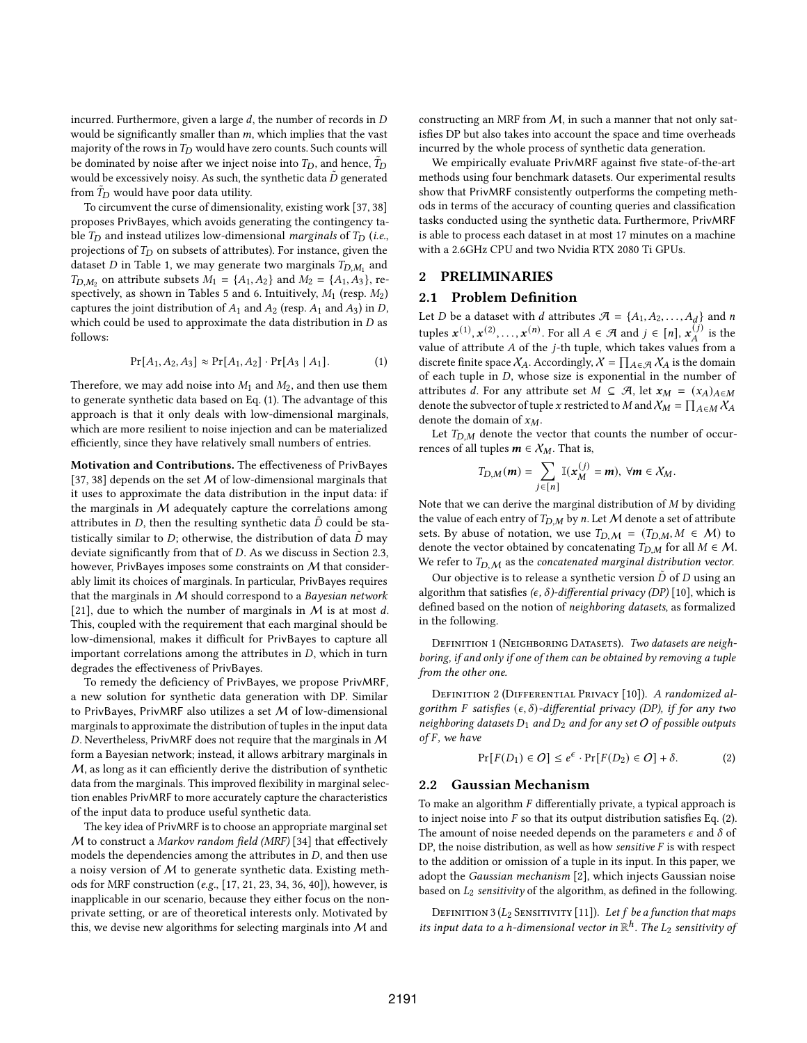incurred. Furthermore, given a large  $d$ , the number of records in  $D$ would be significantly smaller than  $m$ , which implies that the vast majority of the rows in  $T_D$  would have zero counts. Such counts will be dominated by noise after we inject noise into  $T_D$ , and hence,  $\tilde{T}_D$ would be excessively noisy. As such, the synthetic data  $\ddot{D}$  generated from  $\tilde{T}_D$  would have poor data utility.

To circumvent the curse of dimensionality, existing work [37, 38] proposes PrivBayes, which avoids generating the contingency table  $T_D$  and instead utilizes low-dimensional *marginals* of  $T_D$  (*i.e.*, projections of  $T_D$  on subsets of attributes). For instance, given the dataset D in Table 1, we may generate two marginals  $T_{D,M_1}$  and  $T_{D,M_2}$  on attribute subsets  $M_1 = \{A_1, A_2\}$  and  $M_2 = \{A_1, A_3\}$ , respectively, as shown in Tables 5 and 6. Intuitively,  $M_1$  (resp.  $M_2$ ) captures the joint distribution of  $A_1$  and  $A_2$  (resp.  $A_1$  and  $A_3$ ) in D, which could be used to approximate the data distribution in  $D$  as follows:

$$
Pr[A_1, A_2, A_3] \approx Pr[A_1, A_2] \cdot Pr[A_3 | A_1]. \tag{1}
$$

Therefore, we may add noise into  $M_1$  and  $M_2$ , and then use them to generate synthetic data based on Eq. (1). The advantage of this approach is that it only deals with low-dimensional marginals, which are more resilient to noise injection and can be materialized efficiently, since they have relatively small numbers of entries.

Motivation and Contributions. The effectiveness of PrivBayes [37, 38] depends on the set  $M$  of low-dimensional marginals that it uses to approximate the data distribution in the input data: if the marginals in  $M$  adequately capture the correlations among attributes in  $D$ , then the resulting synthetic data  $D$  could be statistically similar to  $D$ ; otherwise, the distribution of data  $\ddot{D}$  may deviate significantly from that of  $D$ . As we discuss in Section 2.3, however, PrivBayes imposes some constraints on M that considerably limit its choices of marginals. In particular, PrivBayes requires that the marginals in  $M$  should correspond to a Bayesian network [21], due to which the number of marginals in  $M$  is at most d. This, coupled with the requirement that each marginal should be low-dimensional, makes it difficult for PrivBayes to capture all important correlations among the attributes in  $D$ , which in turn degrades the effectiveness of PrivBayes.

To remedy the deficiency of PrivBayes, we propose PrivMRF, a new solution for synthetic data generation with DP. Similar to PrivBayes, PrivMRF also utilizes a set  $M$  of low-dimensional marginals to approximate the distribution of tuples in the input data D. Nevertheless, PrivMRF does not require that the marginals in  $M$ form a Bayesian network; instead, it allows arbitrary marginals in M, as long as it can efficiently derive the distribution of synthetic data from the marginals. This improved flexibility in marginal selection enables PrivMRF to more accurately capture the characteristics of the input data to produce useful synthetic data.

The key idea of PrivMRF is to choose an appropriate marginal set M to construct a Markov random field (MRF) [34] that effectively models the dependencies among the attributes in  $D$ , and then use a noisy version of  $M$  to generate synthetic data. Existing methods for MRF construction (e.g., [17, 21, 23, 34, 36, 40]), however, is inapplicable in our scenario, because they either focus on the nonprivate setting, or are of theoretical interests only. Motivated by this, we devise new algorithms for selecting marginals into  $M$  and

constructing an MRF from  $M$ , in such a manner that not only satisfies DP but also takes into account the space and time overheads incurred by the whole process of synthetic data generation.

We empirically evaluate PrivMRF against five state-of-the-art methods using four benchmark datasets. Our experimental results show that PrivMRF consistently outperforms the competing methods in terms of the accuracy of counting queries and classification tasks conducted using the synthetic data. Furthermore, PrivMRF is able to process each dataset in at most 17 minutes on a machine with a 2.6GHz CPU and two Nvidia RTX 2080 Ti GPUs.

#### 2 PRELIMINARIES

## 2.1 Problem Definition

Let *D* be a dataset with *d* attributes  $\mathcal{A} = \{A_1, A_2, ..., A_d\}$  and *n* tuples  $\mathbf{x}^{(1)}, \mathbf{x}^{(2)}, \ldots, \mathbf{x}^{(n)}$ . For all  $A \in \mathcal{A}$  and  $j \in [n]$ ,  $\mathbf{x}_A^{(j)}$  is the value of attribute  $A$  of the j-th tuple, which takes values from a discrete finite space  $X_A$ . Accordingly,  $\mathcal{X} = \prod_{A \in \mathcal{A}} X_A$  is the domain of each tuple in  $D$ , whose size is exponential in the number of attributes *d*. For any attribute set  $M \subseteq \mathcal{A}$ , let  $x_M = (x_A)_{A \in M}$ denote the subvector of tuple x restricted to M and  $X_M = \prod_{A \in M} X_A$ denote the domain of  $x_M$ .

Let  $T_{D,M}$  denote the vector that counts the number of occurrences of all tuples  $m \in X_M$ . That is,

$$
T_{D,M}(m) = \sum_{j \in [n]} \mathbb{I}(\mathbf{x}_M^{(j)} = m), \ \forall m \in \mathcal{X}_M.
$$

Note that we can derive the marginal distribution of  $\overline{M}$  by dividing the value of each entry of  $T_{D,M}$  by n. Let M denote a set of attribute sets. By abuse of notation, we use  $T_{D,M} = (T_{D,M}, M \in M)$  to denote the vector obtained by concatenating  $T_{D,M}$  for all  $M \in \mathcal{M}$ . We refer to  $T_{D,M}$  as the concatenated marginal distribution vector.

Our objective is to release a synthetic version  $\tilde{D}$  of  $D$  using an algorithm that satisfies ( $\epsilon$ ,  $\delta$ )-differential privacy (DP) [10], which is defined based on the notion of neighboring datasets, as formalized in the following.

DEFINITION 1 (NEIGHBORING DATASETS). Two datasets are neighboring, if and only if one of them can be obtained by removing a tuple from the other one.

DEFINITION 2 (DIFFERENTIAL PRIVACY [10]). A randomized algorithm F satisfies  $(\epsilon, \delta)$ -differential privacy (DP), if for any two neighboring datasets  $D_1$  and  $D_2$  and for any set O of possible outputs  $of F$ , we have

$$
Pr[F(D_1) \in O] \le e^{\epsilon} \cdot Pr[F(D_2) \in O] + \delta. \tag{2}
$$

#### 2.2 Gaussian Mechanism

To make an algorithm  $F$  differentially private, a typical approach is to inject noise into  $F$  so that its output distribution satisfies Eq. (2). The amount of noise needed depends on the parameters  $\epsilon$  and  $\delta$  of DP, the noise distribution, as well as how sensitive  $F$  is with respect to the addition or omission of a tuple in its input. In this paper, we adopt the Gaussian mechanism [2], which injects Gaussian noise based on  $L_2$  sensitivity of the algorithm, as defined in the following.

DEFINITION 3 ( $L_2$  SENSITIVITY [11]). Let  $f$  be a function that maps its input data to a h-dimensional vector in  $\mathbb{R}^h$ . The  $L_2$  sensitivity of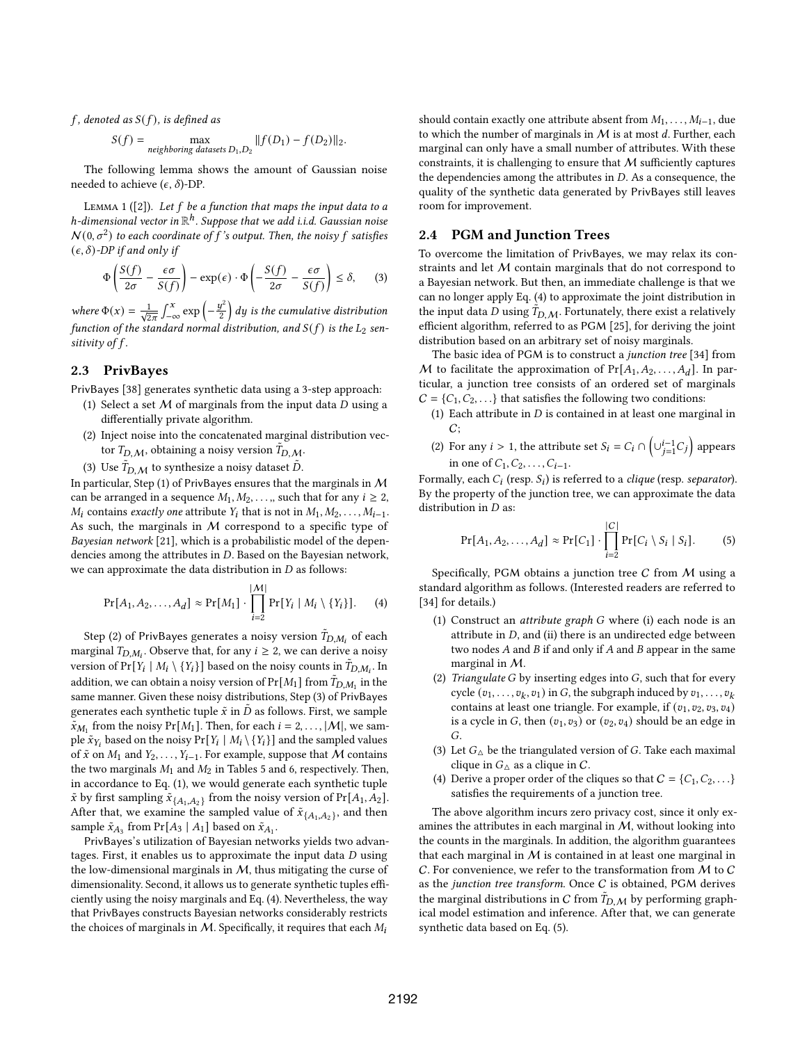$f$ , denoted as  $S(f)$ , is defined as

$$
S(f) = \max_{\text{neighboring datasets } D_1, D_2} ||f(D_1) - f(D_2)||_2.
$$

The following lemma shows the amount of Gaussian noise needed to achieve  $(\epsilon, \delta)$ -DP.

LEMMA 1 ([2]). Let  $f$  be a function that maps the input data to a h-dimensional vector in  $\mathbb{R}^h$ . Suppose that we add i.i.d. Gaussian noise  $N(0, \sigma^2)$  to each coordinate of f's output. Then, the noisy f satisfies  $(\epsilon, \delta)$ -DP if and only if

$$
\Phi\left(\frac{S(f)}{2\sigma} - \frac{\epsilon\sigma}{S(f)}\right) - \exp(\epsilon) \cdot \Phi\left(-\frac{S(f)}{2\sigma} - \frac{\epsilon\sigma}{S(f)}\right) \le \delta, \qquad (3)
$$

where  $\Phi(x) = \frac{1}{\sqrt{2\pi}} \int_{-\infty}^{x} \exp\left(-\frac{y^2}{2}\right)$  $\left(\frac{y^2}{2}\right)$  dy is the cumulative distribution function of the standard normal distribution, and  $S(f)$  is the  $L_2$  sensitivity of  $f$ .

# 2.3 PrivBayes

PrivBayes [38] generates synthetic data using a 3-step approach:

- (1) Select a set  $M$  of marginals from the input data  $D$  using a differentially private algorithm.
- (2) Inject noise into the concatenated marginal distribution vector  $T_{D,\mathcal{M}}$ , obtaining a noisy version  $\tilde{T}_{D,\mathcal{M}}$ .
- (3) Use  $\tilde{T}_{D,\mathcal{M}}$  to synthesize a noisy dataset  $\tilde{D}$ .

In particular, Step (1) of PrivBayes ensures that the marginals in  $M$ can be arranged in a sequence  $M_1, M_2, \ldots$ , such that for any  $i \geq 2$ ,  $M_i$  contains *exactly one* attribute  $Y_i$  that is not in  $M_1, M_2, \ldots, M_{i-1}$ . As such, the marginals in  $M$  correspond to a specific type of Bayesian network [21], which is a probabilistic model of the dependencies among the attributes in  $D$ . Based on the Bayesian network, we can approximate the data distribution in  $D$  as follows:

$$
Pr[A_1, A_2, \dots, A_d] \approx Pr[M_1] \cdot \prod_{i=2}^{|M|} Pr[Y_i \mid M_i \setminus \{Y_i\}]. \tag{4}
$$

Step (2) of PrivBayes generates a noisy version  $\tilde{T}_{D,M_i}$  of each marginal  $T_{D,M_i}$ . Observe that, for any  $i \geq 2$ , we can derive a noisy version of Pr[ $Y_i \mid M_i \setminus \{Y_i\}$ ] based on the noisy counts in  $\tilde{T}_{D,M_i}$ . In addition, we can obtain a noisy version of Pr[ $M_1$ ] from  $\tilde{T}_{D,M_1}$  in the same manner. Given these noisy distributions, Step (3) of PrivBayes generates each synthetic tuple  $\tilde{x}$  in  $\tilde{D}$  as follows. First, we sample  $\tilde{x}_{M_1}$  from the noisy Pr[ $M_1$ ]. Then, for each  $i = 2, ..., |\mathcal{M}|$ , we sample  $\tilde{x}_{Y_i}$  based on the noisy  $Pr[Y_i \mid M_i \setminus \{Y_i\}]$  and the sampled values of  $\tilde{x}$  on  $M_1$  and  $Y_2, \ldots, Y_{i-1}$ . For example, suppose that M contains the two marginals  $M_1$  and  $M_2$  in Tables 5 and 6, respectively. Then, in accordance to Eq. (1), we would generate each synthetic tuple  $\tilde{x}$  by first sampling  $\tilde{x}_{\{A_1, A_2\}}$  from the noisy version of Pr[ $A_1, A_2$ ]. After that, we examine the sampled value of  $\tilde{x}_{\{A_1, A_2\}}$ , and then sample  $\tilde{x}_{A_3}$  from Pr[A<sub>3</sub> | A<sub>1</sub>] based on  $\tilde{x}_{A_1}$ .

PrivBayes's utilization of Bayesian networks yields two advantages. First, it enables us to approximate the input data  $D$  using the low-dimensional marginals in  $M$ , thus mitigating the curse of dimensionality. Second, it allows us to generate synthetic tuples efficiently using the noisy marginals and Eq. (4). Nevertheless, the way that PrivBayes constructs Bayesian networks considerably restricts the choices of marginals in  $M$ . Specifically, it requires that each  $M_i$ 

should contain exactly one attribute absent from  $M_1, \ldots, M_{i-1}$ , due to which the number of marginals in  $M$  is at most  $d$ . Further, each marginal can only have a small number of attributes. With these constraints, it is challenging to ensure that  $M$  sufficiently captures the dependencies among the attributes in  $D$ . As a consequence, the quality of the synthetic data generated by PrivBayes still leaves room for improvement.

# 2.4 PGM and Junction Trees

To overcome the limitation of PrivBayes, we may relax its constraints and let M contain marginals that do not correspond to a Bayesian network. But then, an immediate challenge is that we can no longer apply Eq. (4) to approximate the joint distribution in the input data D using  $\overline{T}_{D,M}$ . Fortunately, there exist a relatively efficient algorithm, referred to as PGM [25], for deriving the joint distribution based on an arbitrary set of noisy marginals.

The basic idea of PGM is to construct a junction tree [34] from M to facilitate the approximation of  $Pr[A_1, A_2, ..., A_d]$ . In particular, a junction tree consists of an ordered set of marginals  $C = \{C_1, C_2, \ldots\}$  that satisfies the following two conditions:

- (1) Each attribute in  $D$  is contained in at least one marginal in  $C;$
- (2) For any  $i > 1$ , the attribute set  $S_i = C_i \cap \left(\bigcup_{j=1}^{i-1} C_j\right)$  appears in one of  $C_1, C_2, \ldots, C_{i-1}$ .

Formally, each  $C_i$  (resp.  $S_i$ ) is referred to a *clique* (resp. separator). By the property of the junction tree, we can approximate the data distribution in  $D$  as:

$$
Pr[A_1, A_2, \dots, A_d] \approx Pr[C_1] \cdot \prod_{i=2}^{|C|} Pr[C_i \setminus S_i | S_i]. \tag{5}
$$

Specifically, PGM obtains a junction tree  $C$  from  $M$  using a standard algorithm as follows. (Interested readers are referred to [34] for details.)

- (1) Construct an *attribute graph G* where (i) each node is an attribute in  $D$ , and (ii) there is an undirected edge between two nodes  $A$  and  $B$  if and only if  $A$  and  $B$  appear in the same marginal in M.
- (2) Triangulate  $G$  by inserting edges into  $G$ , such that for every cycle  $(v_1, \ldots, v_k, v_1)$  in G, the subgraph induced by  $v_1, \ldots, v_k$ contains at least one triangle. For example, if  $(v_1, v_2, v_3, v_4)$ is a cycle in G, then  $(v_1, v_3)$  or  $(v_2, v_4)$  should be an edge in G.
- (3) Let  $G_{\Delta}$  be the triangulated version of G. Take each maximal clique in  $G_{\Delta}$  as a clique in C.
- (4) Derive a proper order of the cliques so that  $C = \{C_1, C_2, \ldots\}$ satisfies the requirements of a junction tree.

The above algorithm incurs zero privacy cost, since it only examines the attributes in each marginal in  $M$ , without looking into the counts in the marginals. In addition, the algorithm guarantees that each marginal in  $M$  is contained in at least one marginal in C. For convenience, we refer to the transformation from M to C as the junction tree transform. Once  $C$  is obtained, PGM derives the marginal distributions in C from  $\tilde{T}_{D,\mathcal{M}}$  by performing graphical model estimation and inference. After that, we can generate synthetic data based on Eq. (5).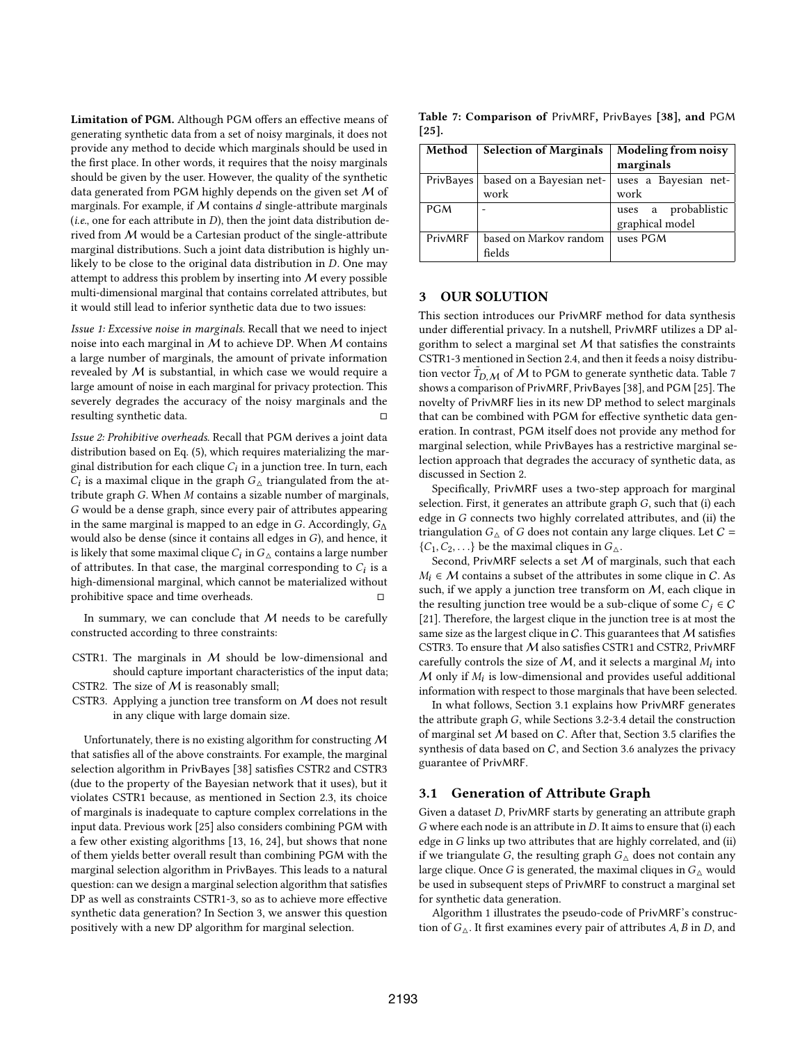Limitation of PGM. Although PGM offers an effective means of generating synthetic data from a set of noisy marginals, it does not provide any method to decide which marginals should be used in the first place. In other words, it requires that the noisy marginals should be given by the user. However, the quality of the synthetic data generated from PGM highly depends on the given set M of marginals. For example, if  $M$  contains  $d$  single-attribute marginals (i.e., one for each attribute in  $D$ ), then the joint data distribution derived from M would be a Cartesian product of the single-attribute marginal distributions. Such a joint data distribution is highly unlikely to be close to the original data distribution in  $D$ . One may attempt to address this problem by inserting into  $M$  every possible multi-dimensional marginal that contains correlated attributes, but it would still lead to inferior synthetic data due to two issues:

Issue 1: Excessive noise in marginals. Recall that we need to inject noise into each marginal in  $M$  to achieve DP. When  $M$  contains a large number of marginals, the amount of private information revealed by M is substantial, in which case we would require a large amount of noise in each marginal for privacy protection. This severely degrades the accuracy of the noisy marginals and the resulting synthetic data.

Issue 2: Prohibitive overheads. Recall that PGM derives a joint data distribution based on Eq. (5), which requires materializing the marginal distribution for each clique  $C_i$  in a junction tree. In turn, each  $\hat{C}_i$  is a maximal clique in the graph  $G_{\Delta}$  triangulated from the attribute graph  $G$ . When  $M$  contains a sizable number of marginals, G would be a dense graph, since every pair of attributes appearing in the same marginal is mapped to an edge in G. Accordingly,  $G_{\Lambda}$ would also be dense (since it contains all edges in  $G$ ), and hence, it is likely that some maximal clique  $C_l$  in  $\overline{G}_\Delta$  contains a large number of attributes. In that case, the marginal corresponding to  $C_i$  is a high-dimensional marginal, which cannot be materialized without prohibitive space and time overheads.

In summary, we can conclude that  $M$  needs to be carefully constructed according to three constraints:

- CSTR1. The marginals in  $M$  should be low-dimensional and should capture important characteristics of the input data;
- CSTR2. The size of  $M$  is reasonably small;
- CSTR3. Applying a junction tree transform on M does not result in any clique with large domain size.

Unfortunately, there is no existing algorithm for constructing  $M$ that satisfies all of the above constraints. For example, the marginal selection algorithm in PrivBayes [38] satisfies CSTR2 and CSTR3 (due to the property of the Bayesian network that it uses), but it violates CSTR1 because, as mentioned in Section 2.3, its choice of marginals is inadequate to capture complex correlations in the input data. Previous work [25] also considers combining PGM with a few other existing algorithms [13, 16, 24], but shows that none of them yields better overall result than combining PGM with the marginal selection algorithm in PrivBayes. This leads to a natural question: can we design a marginal selection algorithm that satisfies DP as well as constraints CSTR1-3, so as to achieve more effective synthetic data generation? In Section 3, we answer this question positively with a new DP algorithm for marginal selection.

Table 7: Comparison of PrivMRF, PrivBayes [38], and PGM [25].

| Method     | <b>Selection of Marginals</b>    | <b>Modeling from noisy</b><br>marginals |
|------------|----------------------------------|-----------------------------------------|
| PrivBayes  | based on a Bayesian net-<br>work | uses a Bayesian net-<br>work            |
| <b>PGM</b> |                                  | uses a probablistic<br>graphical model  |
| PrivMRF    | based on Markov random<br>fields | uses PGM                                |

# 3 OUR SOLUTION

This section introduces our PrivMRF method for data synthesis under differential privacy. In a nutshell, PrivMRF utilizes a DP algorithm to select a marginal set  $M$  that satisfies the constraints CSTR1-3 mentioned in Section 2.4, and then it feeds a noisy distribution vector  $\tilde{T}_{D,M}$  of M to PGM to generate synthetic data. Table 7 shows a comparison of PrivMRF, PrivBayes[38], and PGM [25]. The novelty of PrivMRF lies in its new DP method to select marginals that can be combined with PGM for effective synthetic data generation. In contrast, PGM itself does not provide any method for marginal selection, while PrivBayes has a restrictive marginal selection approach that degrades the accuracy of synthetic data, as discussed in Section 2.

Specifically, PrivMRF uses a two-step approach for marginal selection. First, it generates an attribute graph  $G$ , such that (i) each edge in  $G$  connects two highly correlated attributes, and (ii) the triangulation  $G_{\wedge}$  of G does not contain any large cliques. Let  $C =$  $\{C_1, C_2, \ldots\}$  be the maximal cliques in  $G_{\Delta}$ .

Second, PrivMRF selects a set  $M$  of marginals, such that each  $M_i \in \mathcal{M}$  contains a subset of the attributes in some clique in C. As such, if we apply a junction tree transform on  $M$ , each clique in the resulting junction tree would be a sub-clique of some  $C_i \in \mathcal{C}$ [21]. Therefore, the largest clique in the junction tree is at most the same size as the largest clique in  $C$ . This guarantees that  $M$  satisfies CSTR3. To ensure that  $M$  also satisfies CSTR1 and CSTR2, PrivMRF carefully controls the size of  $M$ , and it selects a marginal  $M_i$  into  $M$  only if  $M_i$  is low-dimensional and provides useful additional information with respect to those marginals that have been selected.

In what follows, Section 3.1 explains how PrivMRF generates the attribute graph  $G$ , while Sections 3.2-3.4 detail the construction of marginal set M based on C. After that, Section 3.5 clarifies the synthesis of data based on  $C$ , and Section 3.6 analyzes the privacy guarantee of PrivMRF.

# 3.1 Generation of Attribute Graph

Given a dataset  $D$ , PrivMRF starts by generating an attribute graph  $G$  where each node is an attribute in  $D$ . It aims to ensure that (i) each edge in  $G$  links up two attributes that are highly correlated, and (ii) if we triangulate G, the resulting graph  $G_{\Delta}$  does not contain any large clique. Once G is generated, the maximal cliques in  $G_{\Delta}$  would be used in subsequent steps of PrivMRF to construct a marginal set for synthetic data generation.

Algorithm 1 illustrates the pseudo-code of PrivMRF's construction of  $G_{\Delta}$ . It first examines every pair of attributes A, B in D, and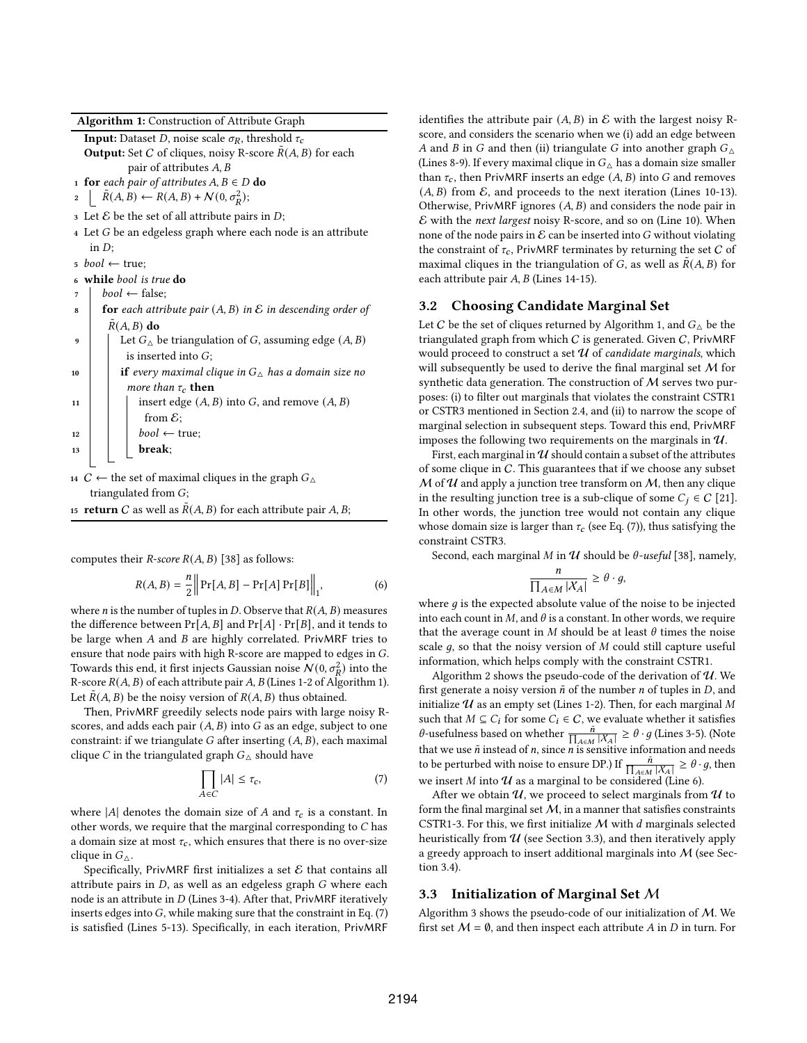Algorithm 1: Construction of Attribute Graph

**Input:** Dataset *D*, noise scale  $\sigma_R$ , threshold  $\tau_c$ **Output:** Set C of cliques, noisy R-score  $R(A, B)$  for each pair of attributes  $A, B$ 

1 for each pair of attributes  $A, B \in D$  do

 $\tilde{R}(A, B) \leftarrow R(A, B) + \mathcal{N}(0, \sigma_R^2);$ 

- 3 Let  $\mathcal E$  be the set of all attribute pairs in  $D$ ;
- $4$  Let  $G$  be an edgeless graph where each node is an attribute in  $D$ :
- $5 \; bool \leftarrow \text{true};$
- 6 while bool is true do
- $bool \leftarrow false$ :
- for each attribute pair  $(A, B)$  in  $\mathcal E$  in descending order of  $R(A, B)$  do

| $\mathbf q$ | Let $G_{\wedge}$ be triangulation of G, assuming edge $(A, B)$      |
|-------------|---------------------------------------------------------------------|
|             | is inserted into $G$ ;                                              |
| 10          | <b>if</b> every maximal clique in $G_{\wedge}$ has a domain size no |
|             | <i>more than</i> $\tau_c$ <b>then</b>                               |
| 11          | insert edge $(A, B)$ into G, and remove $(A, B)$                    |
|             | from $\mathcal{E}$ ;                                                |
| 12          | $bool \leftarrow true;$<br><b>break</b> ;                           |
| 13          |                                                                     |
|             |                                                                     |

14 *C* ← the set of maximal cliques in the graph  $G_$ triangulated from  $G$ ;

15 **return** C as well as  $\overline{R}(A, B)$  for each attribute pair A, B;

computes their *R*-score  $R(A, B)$  [38] as follows:

$$
R(A, B) = \frac{n}{2} \| \Pr[A, B] - \Pr[A] \Pr[B] \|_1,
$$
 (6)

where *n* is the number of tuples in *D*. Observe that  $R(A, B)$  measures the difference between  $Pr[A, B]$  and  $Pr[A] \cdot Pr[B]$ , and it tends to be large when  $A$  and  $B$  are highly correlated. PrivMRF tries to ensure that node pairs with high R-score are mapped to edges in  $G$ . Towards this end, it first injects Gaussian noise  $N(0, \sigma_R^2)$  into the R-score  $R(A, B)$  of each attribute pair A, B (Lines 1-2 of Algorithm 1). Let  $R(A, B)$  be the noisy version of  $R(A, B)$  thus obtained.

Then, PrivMRF greedily selects node pairs with large noisy Rscores, and adds each pair  $(A, B)$  into  $G$  as an edge, subject to one constraint: if we triangulate  $G$  after inserting  $(A, B)$ , each maximal clique *C* in the triangulated graph  $G_{\Delta}$  should have

$$
\prod_{A \in C} |A| \le \tau_c,\tag{7}
$$

where |A| denotes the domain size of A and  $\tau_c$  is a constant. In other words, we require that the marginal corresponding to  $C$  has a domain size at most  $\tau_c$ , which ensures that there is no over-size clique in  $G_{\Delta}$ .

Specifically, PrivMRF first initializes a set  $\mathcal E$  that contains all attribute pairs in  $D$ , as well as an edgeless graph  $G$  where each node is an attribute in  $D$  (Lines 3-4). After that, PrivMRF iteratively inserts edges into  $G$ , while making sure that the constraint in Eq. (7) is satisfied (Lines 5-13). Specifically, in each iteration, PrivMRF identifies the attribute pair  $(A, B)$  in E with the largest noisy Rscore, and considers the scenario when we (i) add an edge between A and B in G and then (ii) triangulate G into another graph  $G_{\Delta}$ (Lines 8-9). If every maximal clique in  $G_{\wedge}$  has a domain size smaller than  $\tau_c$ , then PrivMRF inserts an edge  $(A, B)$  into G and removes  $(A, B)$  from  $\mathcal E$ , and proceeds to the next iteration (Lines 10-13). Otherwise, PrivMRF ignores  $(A, B)$  and considers the node pair in  $\mathcal E$  with the *next largest* noisy R-score, and so on (Line 10). When none of the node pairs in  $\mathcal E$  can be inserted into G without violating the constraint of  $\tau_c$ , PrivMRF terminates by returning the set C of maximal cliques in the triangulation of G, as well as  $\tilde{R}(A, B)$  for each attribute pair  $A, B$  (Lines 14-15).

# 3.2 Choosing Candidate Marginal Set

Let C be the set of cliques returned by Algorithm 1, and  $G_{\Delta}$  be the triangulated graph from which  $C$  is generated. Given  $C$ , PrivMRF would proceed to construct a set  $U$  of candidate marginals, which will subsequently be used to derive the final marginal set  $M$  for synthetic data generation. The construction of  $M$  serves two purposes: (i) to filter out marginals that violates the constraint CSTR1 or CSTR3 mentioned in Section 2.4, and (ii) to narrow the scope of marginal selection in subsequent steps. Toward this end, PrivMRF imposes the following two requirements on the marginals in  $\mathcal{U}$ .

First, each marginal in  $\mathcal U$  should contain a subset of the attributes of some clique in C. This guarantees that if we choose any subset  $M$  of  $U$  and apply a junction tree transform on  $M$ , then any clique in the resulting junction tree is a sub-clique of some  $C_i \in C$  [21]. In other words, the junction tree would not contain any clique whose domain size is larger than  $\tau_c$  (see Eq. (7)), thus satisfying the constraint CSTR3.

Second, each marginal M in  $U$  should be  $\theta$ -useful [38], namely,

$$
\frac{n}{\prod_{A \in M} |\mathcal{X}_A|} \ge \theta \cdot g,
$$

where  $g$  is the expected absolute value of the noise to be injected into each count in  $M$ , and  $\theta$  is a constant. In other words, we require that the average count in M should be at least  $\theta$  times the noise scale  $q$ , so that the noisy version of  $M$  could still capture useful information, which helps comply with the constraint CSTR1.

Algorithm 2 shows the pseudo-code of the derivation of  $\mathcal{U}$ . We first generate a noisy version  $\tilde{n}$  of the number *n* of tuples in *D*, and initialize  $U$  as an empty set (Lines 1-2). Then, for each marginal M such that  $M \subseteq C_i$  for some  $C_i \in C$ , we evaluate whether it satisfies  $\theta$ -usefulness based on whether  $\frac{\tilde{n}}{\prod_{A \in M} |X_A|} \ge \theta \cdot g$  (Lines 3-5). (Note that we use  $\tilde{n}$  instead of *n*, since *n* is sensitive information and needs to be perturbed with noise to ensure DP.) If  $\frac{\tilde{n}}{\prod_{A \in M} |X_A|} \ge \theta \cdot g$ , then we insert  $M$  into  $U$  as a marginal to be considered (Line 6).

After we obtain  $U$ , we proceed to select marginals from  $U$  to form the final marginal set  $M$ , in a manner that satisfies constraints CSTR1-3. For this, we first initialize  $M$  with  $d$  marginals selected heuristically from  $U$  (see Section 3.3), and then iteratively apply a greedy approach to insert additional marginals into M (see Section 3.4).

#### 3.3 Initialization of Marginal Set M

Algorithm 3 shows the pseudo-code of our initialization of  $M$ . We first set  $M = \emptyset$ , and then inspect each attribute A in D in turn. For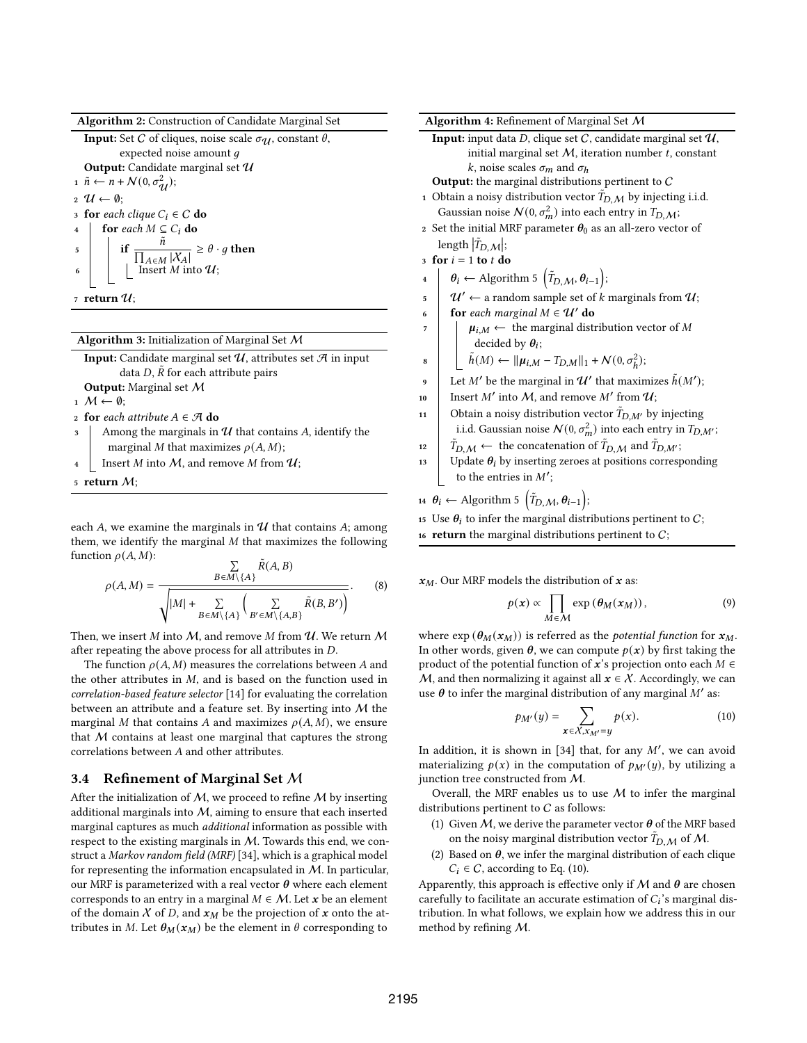Algorithm 2: Construction of Candidate Marginal Set

**Input:** Set C of cliques, noise scale  $\sigma_{\mathcal{U}}$ , constant  $\theta$ , expected noise amount  $g$ Output: Candidate marginal set  $\mathcal U$ 1  $\tilde{n} \leftarrow n + \mathcal{N}(0, \sigma_{\mathcal{U}}^2);$  $2 \mathcal{U} \leftarrow \emptyset;$ 3 for each clique  $C_i \in \mathcal{C}$  do 4 for each  $M \subseteq C_i$  do  $\begin{array}{c|c}\n\text{ } & \text{if } \frac{\tilde{n}}{\prod_{A \in M} |\mathcal{X}_A|} \geq \theta \cdot g \text{ then}\n\end{array}$ 6 | |  $\left| \right|$  Insert *M* into  $\mathcal{U}$ ; 7 return  $\mathcal{U}$ ;

Algorithm 3: Initialization of Marginal Set M

| <b>Input:</b> Candidate marginal set $\mathcal{U}$ , attributes set $\mathcal{A}$ in input |  |  |
|--------------------------------------------------------------------------------------------|--|--|
| data D, $\tilde{R}$ for each attribute pairs                                               |  |  |
| <b>Output:</b> Marginal set $M$                                                            |  |  |
| $1 M \leftarrow \emptyset$                                                                 |  |  |
| 2 for each attribute $A \in \mathcal{A}$ do                                                |  |  |
| 3 Among the marginals in $U$ that contains A, identify the                                 |  |  |
| marginal M that maximizes $\rho(A, M)$ ;                                                   |  |  |
| Insert <i>M</i> into <i>M</i> , and remove <i>M</i> from $U$ ;                             |  |  |
| 5 return $M$ :                                                                             |  |  |

each A, we examine the marginals in  $\mathcal U$  that contains A; among them, we identify the marginal  $M$  that maximizes the following function  $\rho(A, M)$ :

on 
$$
p(A, M)
$$
:  
\n
$$
\rho(A, M) = \frac{\sum_{B \in M \setminus \{A\}} \tilde{R}(A, B)}{\sqrt{|M| + \sum_{B \in M \setminus \{A\}} \left(\sum_{B' \in M \setminus \{A, B\}} \tilde{R}(B, B')\right)}}.
$$
\n(8)

Then, we insert  $M$  into  $M$ , and remove  $M$  from  $U$ . We return  $M$ after repeating the above process for all attributes in  $D$ .

The function  $\rho(A, M)$  measures the correlations between A and the other attributes in  $M$ , and is based on the function used in correlation-based feature selector [14] for evaluating the correlation between an attribute and a feature set. By inserting into M the marginal M that contains A and maximizes  $\rho(A, M)$ , we ensure that  $M$  contains at least one marginal that captures the strong correlations between A and other attributes.

#### 3.4 Refinement of Marginal Set M

After the initialization of  $M$ , we proceed to refine  $M$  by inserting additional marginals into  $M$ , aiming to ensure that each inserted marginal captures as much additional information as possible with respect to the existing marginals in M. Towards this end, we construct a Markov random field (MRF) [34], which is a graphical model for representing the information encapsulated in  $M$ . In particular, our MRF is parameterized with a real vector  $\theta$  where each element corresponds to an entry in a marginal  $M \in \mathcal{M}$ . Let x be an element of the domain  $X$  of D, and  $x_M$  be the projection of  $x$  onto the attributes in M. Let  $\theta_M(x_M)$  be the element in  $\theta$  corresponding to

|          | Algorithm 4: Refinement of Marginal Set M                                                                                  |
|----------|----------------------------------------------------------------------------------------------------------------------------|
|          | <b>Input:</b> input data D, clique set C, candidate marginal set $\mathcal{U}$ ,                                           |
|          | initial marginal set $M$ , iteration number $t$ , constant                                                                 |
|          | k, noise scales $\sigma_m$ and $\sigma_h$                                                                                  |
|          | <b>Output:</b> the marginal distributions pertinent to $C$                                                                 |
|          | 1 Obtain a noisy distribution vector $T_{D,M}$ by injecting i.i.d.                                                         |
|          | Gaussian noise $\mathcal{N}(0, \sigma_m^2)$ into each entry in $T_{D,\mathcal{M}}$ ;                                       |
|          | 2 Set the initial MRF parameter $\theta_0$ as an all-zero vector of                                                        |
|          | length $ \tilde{T}_{D,M} $ ;                                                                                               |
|          | 3 for $i = 1$ to t do                                                                                                      |
| $\bf{4}$ | $\theta_i \leftarrow$ Algorithm 5 $(\tilde{T}_{D,\mathcal{M}}, \theta_{i-1});$                                             |
| 5        | $\mathcal{U}' \leftarrow$ a random sample set of $k$ marginals from $\mathcal{U};$                                         |
| 6        | for each marginal $M \in U'$ do                                                                                            |
| 7        | $\mu_{i,M} \leftarrow$ the marginal distribution vector of M                                                               |
|          | decided by $\theta_i$ ;                                                                                                    |
| 8        | $\tilde{h}(M) \leftarrow   \mu_{i,M} - T_{D,M}  _1 + \mathcal{N}(0, \sigma_h^2);$                                          |
| 9        | Let M' be the marginal in $\mathcal{U}'$ that maximizes $\tilde{h}(M')$ ;                                                  |
| 10       | Insert M' into M, and remove M' from $\mathcal{U}$ ;                                                                       |
| 11       | Obtain a noisy distribution vector $\tilde{T}_{D,M'}$ by injecting                                                         |
|          | i.i.d. Gaussian noise $\mathcal{N}(0, \sigma_m^2)$ into each entry in $T_{D,M'}$ ;                                         |
| 12       | $\tilde{T}_{D,\mathcal{M}} \leftarrow$ the concatenation of $\tilde{T}_{D,\mathcal{M}}$ and $\tilde{T}_{D,\mathcal{M}'}$ ; |
|          | Update $\theta_i$ by inserting zeroes at positions corresponding                                                           |
| 13       |                                                                                                                            |
|          | to the entries in $M'$ ;                                                                                                   |

15 Use  $\theta_i$  to infer the marginal distributions pertinent to C;

16 return the marginal distributions pertinent to  $C$ ;

 $x_M$ . Our MRF models the distribution of x as:

$$
p(\mathbf{x}) \propto \prod_{M \in \mathcal{M}} \exp \left( \theta_M(\mathbf{x}_M) \right), \tag{9}
$$

where  $\exp (\theta_M(x_M))$  is referred as the *potential function* for  $x_M$ . In other words, given  $\theta$ , we can compute  $p(x)$  by first taking the product of the potential function of  $x$ 's projection onto each  $M \in$ M, and then normalizing it against all  $x \in \mathcal{X}$ . Accordingly, we can use  $\theta$  to infer the marginal distribution of any marginal  $M'$  as:

$$
p_{M'}(y) = \sum_{\mathbf{x} \in \mathcal{X}, \mathbf{x}_{M'} = y} p(\mathbf{x}). \tag{10}
$$

In addition, it is shown in [34] that, for any  $M'$ , we can avoid materializing  $p(x)$  in the computation of  $p_{M'}(y)$ , by utilizing a junction tree constructed from M.

Overall, the MRF enables us to use  $M$  to infer the marginal distributions pertinent to  $C$  as follows:

- (1) Given M, we derive the parameter vector  $\theta$  of the MRF based on the noisy marginal distribution vector  $\tilde{T}_{D,M}$  of M.
- (2) Based on  $\theta$ , we infer the marginal distribution of each clique  $C_i \in \mathcal{C}$ , according to Eq. (10).

Apparently, this approach is effective only if  $M$  and  $\theta$  are chosen carefully to facilitate an accurate estimation of  $C_i$ 's marginal distribution. In what follows, we explain how we address this in our method by refining M.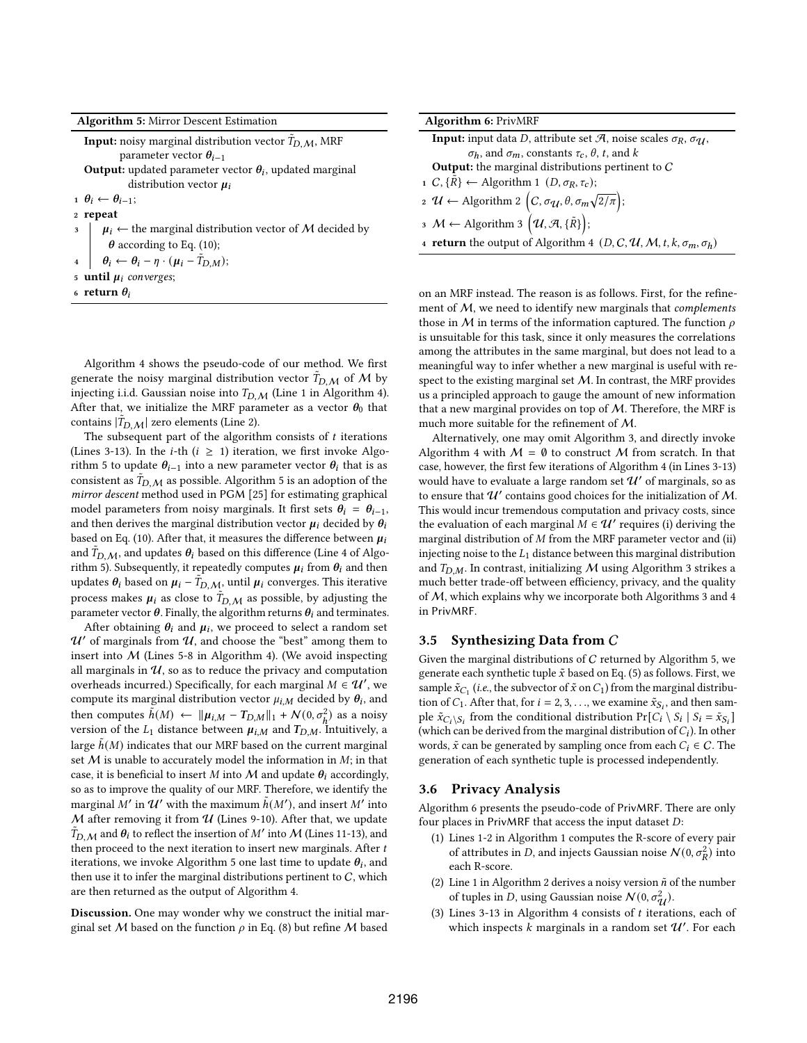| <b>Algorithm 5: Mirror Descent Estimation</b> |  |  |  |  |
|-----------------------------------------------|--|--|--|--|
|-----------------------------------------------|--|--|--|--|

| <b>Input:</b> noisy marginal distribution vector $T_{D,M}$ , MRF         |
|--------------------------------------------------------------------------|
| parameter vector $\theta_{i-1}$                                          |
| <b>Output:</b> updated parameter vector $\theta_i$ , updated marginal    |
| distribution vector $\mu_i$                                              |
| $\theta_i \leftarrow \theta_{i-1}$                                       |
| 2 repeat                                                                 |
| $\mu_i \leftarrow$ the marginal distribution vector of M decided by      |
| $\theta$ according to Eq. (10);                                          |
| 4 $\theta_i \leftarrow \theta_i - \eta \cdot (\mu_i - \tilde{T}_{D,M});$ |
| 5 <b>until</b> $\mu_i$ converges;                                        |
| 6 return $\theta_i$                                                      |

Algorithm 4 shows the pseudo-code of our method. We first generate the noisy marginal distribution vector  $\tilde{T}_{D,M}$  of M by injecting i.i.d. Gaussian noise into  $T_{D,M}$  (Line 1 in Algorithm 4). After that, we initialize the MRF parameter as a vector  $\theta_0$  that contains  $|\tilde{T}_{D,\,\mathcal{M}}|$  zero elements (Line 2).

The subsequent part of the algorithm consists of  $t$  iterations (Lines 3-13). In the *i*-th ( $i \geq 1$ ) iteration, we first invoke Algorithm 5 to update  $\theta_{i-1}$  into a new parameter vector  $\theta_i$  that is as consistent as  $\tilde{T}_{D,M}$  as possible. Algorithm 5 is an adoption of the mirror descent method used in PGM [25] for estimating graphical model parameters from noisy marginals. It first sets  $\theta_i = \theta_{i-1}$ , and then derives the marginal distribution vector  $\mu_i$  decided by  $\theta_i$ based on Eq. (10). After that, it measures the difference between  $\mu_i$ and  $\tilde{T}_{D,M}$ , and updates  $\theta_i$  based on this difference (Line 4 of Algorithm 5). Subsequently, it repeatedly computes  $\mu_i$  from  $\theta_i$  and then updates  $\theta_i$  based on  $\mu_i - \tilde{T}_{D,M}$ , until  $\mu_i$  converges. This iterative process makes  $\mu_i$  as close to  $\tilde{T}_{D,M}$  as possible, by adjusting the parameter vector  $\theta$ . Finally, the algorithm returns  $\theta_i$  and terminates.

After obtaining  $\theta_i$  and  $\mu_i$ , we proceed to select a random set  $\mathcal U'$  of marginals from  $\mathcal U$ , and choose the "best" among them to insert into  $M$  (Lines 5-8 in Algorithm 4). (We avoid inspecting all marginals in  $\mathcal{U}$ , so as to reduce the privacy and computation overheads incurred.) Specifically, for each marginal  $M \in \mathcal{U}'$ , we compute its marginal distribution vector  $\mu_{i,M}$  decided by  $\theta_i$ , and then computes  $\tilde{h}(M) \leftarrow ||\mu_{i,M} - T_{D,M}||_1 + \mathcal{N}(0, \sigma_h^2)$  as a noisy version of the  $L_1$  distance between  $\mu_{i,M}$  and  $T_{D,M}$ . Intuitively, a large  $h(M)$  indicates that our MRF based on the current marginal set  $M$  is unable to accurately model the information in  $M$ ; in that case, it is beneficial to insert M into M and update  $\theta_i$  accordingly, so as to improve the quality of our MRF. Therefore, we identify the marginal M' in  $\mathcal{U}'$  with the maximum  $\tilde{h}(M')$ , and insert M' into  $M$  after removing it from  $U$  (Lines 9-10). After that, we update  $\tilde{T}_{D,M}$  and  $\theta_i$  to reflect the insertion of M' into M (Lines 11-13), and then proceed to the next iteration to insert new marginals. After  $t$ iterations, we invoke Algorithm 5 one last time to update  $\theta_i$ , and then use it to infer the marginal distributions pertinent to  $C$ , which are then returned as the output of Algorithm 4.

Discussion. One may wonder why we construct the initial marginal set M based on the function  $\rho$  in Eq. (8) but refine M based

| <b>Algorithm 6: PrivMRF</b>                                                                                   |
|---------------------------------------------------------------------------------------------------------------|
| <b>Input:</b> input data <i>D</i> , attribute set <i>A</i> , noise scales $\sigma_R$ , $\sigma_U$ ,           |
| $\sigma_h$ , and $\sigma_m$ , constants $\tau_c$ , $\theta$ , t, and k                                        |
| <b>Output:</b> the marginal distributions pertinent to $C$                                                    |
| 1 C, { $\overrightarrow{R}$ } ← Algorithm 1 (D, σ <sub>R</sub> , τ <sub>c</sub> );                            |
| 2 $\mathcal{U} \leftarrow$ Algorithm 2 $\left(C, \sigma_{\mathcal{U}}, \theta, \sigma_m \sqrt{2/\pi}\right);$ |
| 3 $M \leftarrow$ Algorithm 3 $(\mathcal{U}, \mathcal{A}, {\{\tilde{R}\}});$                                   |
| 4 <b>return</b> the output of Algorithm 4 $(D, C, \mathcal{U}, M, t, k, \sigma_m, \sigma_h)$                  |

on an MRF instead. The reason is as follows. First, for the refinement of  $M$ , we need to identify new marginals that *complements* those in M in terms of the information captured. The function  $\rho$ is unsuitable for this task, since it only measures the correlations among the attributes in the same marginal, but does not lead to a meaningful way to infer whether a new marginal is useful with respect to the existing marginal set  $M$ . In contrast, the MRF provides us a principled approach to gauge the amount of new information that a new marginal provides on top of  $M$ . Therefore, the MRF is much more suitable for the refinement of M.

Alternatively, one may omit Algorithm 3, and directly invoke Algorithm 4 with  $M = \emptyset$  to construct M from scratch. In that case, however, the first few iterations of Algorithm 4 (in Lines 3-13) would have to evaluate a large random set  $\mathcal{U}'$  of marginals, so as to ensure that  $\mathcal{U}'$  contains good choices for the initialization of M. This would incur tremendous computation and privacy costs, since the evaluation of each marginal  $\tilde{M} \in \mathcal{U}'$  requires (i) deriving the marginal distribution of  $M$  from the MRF parameter vector and (ii) injecting noise to the  $L_1$  distance between this marginal distribution and  $T_{D,M}$ . In contrast, initializing M using Algorithm 3 strikes a much better trade-off between efficiency, privacy, and the quality of  $M$ , which explains why we incorporate both Algorithms 3 and 4 in PrivMRF.

# 3.5 Synthesizing Data from C

Given the marginal distributions of  $C$  returned by Algorithm 5, we generate each synthetic tuple  $\tilde{x}$  based on Eq. (5) as follows. First, we sample  $\tilde{x}_{C_1}$  (i.e., the subvector of  $\tilde{x}$  on  $C_1$ ) from the marginal distribution of  $C_1$ . After that, for  $i = 2, 3, \ldots$ , we examine  $\tilde{x}_{S_i}$ , and then sample  $\tilde{x}_{C_i \setminus S_i}$  from the conditional distribution  $Pr[C_i \setminus S_i | S_i = \tilde{x}_{S_i}]$ (which can be derived from the marginal distribution of  $C_i$ ). In other words,  $\tilde{x}$  can be generated by sampling once from each  $C_i \in \mathcal{C}$ . The generation of each synthetic tuple is processed independently.

## 3.6 Privacy Analysis

Algorithm 6 presents the pseudo-code of PrivMRF. There are only four places in PrivMRF that access the input dataset  $D$ :

- (1) Lines 1-2 in Algorithm 1 computes the R-score of every pair of attributes in D, and injects Gaussian noise  $\mathcal{N}(0, \sigma_R^2)$  into each R-score.
- (2) Line 1 in Algorithm 2 derives a noisy version  $\tilde{n}$  of the number of tuples in D, using Gaussian noise  $N(0, \sigma_{\mathcal{U}}^2)$ .
- (3) Lines 3-13 in Algorithm 4 consists of  $t$  iterations, each of which inspects  $\vec{k}$  marginals in a random set  $\mathcal{U}'$ . For each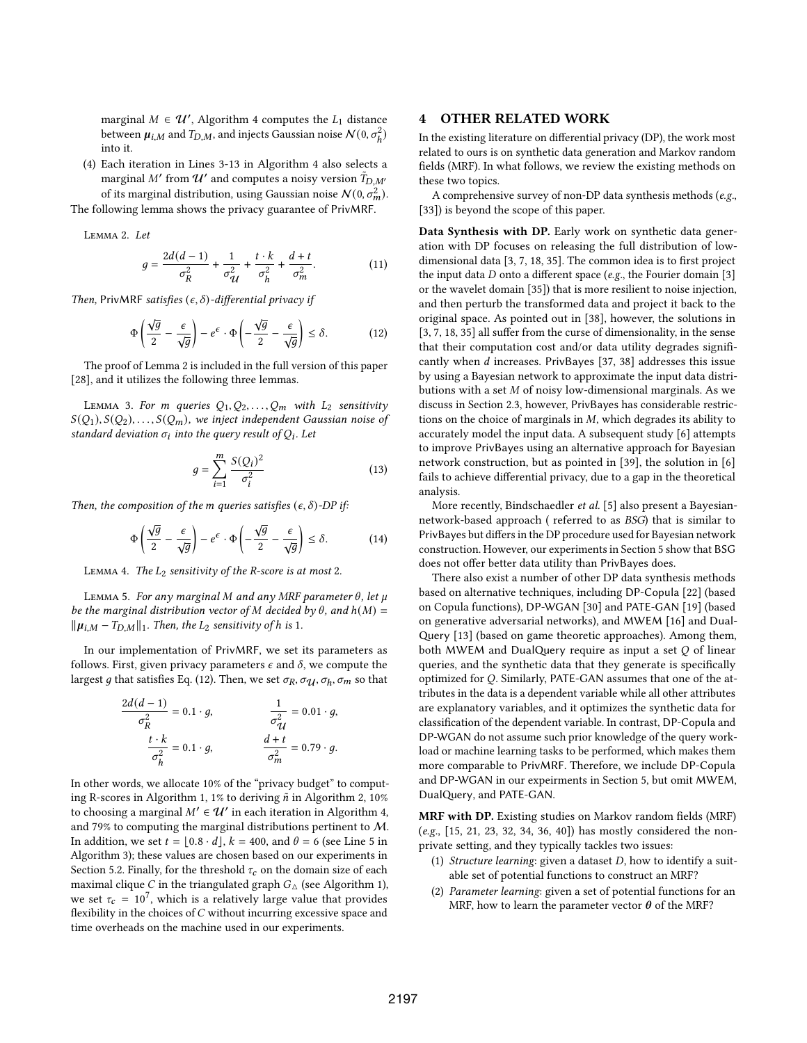marginal  $M \in \mathcal{U}'$ , Algorithm 4 computes the  $L_1$  distance between  $\mu_{i,M}$  and  $T_{D,M}$ , and injects Gaussian noise  $\mathcal{N}(0, \sigma_h^2)$ into it.

(4) Each iteration in Lines 3-13 in Algorithm 4 also selects a marginal M' from  $\mathcal{U}'$  and computes a noisy version  $\tilde{T}_{D,M'}$ of its marginal distribution, using Gaussian noise  $N(0, \sigma_m^2)$ .

The following lemma shows the privacy guarantee of PrivMRF.

Lemma 2. Let

$$
g = \frac{2d(d-1)}{\sigma_R^2} + \frac{1}{\sigma_{\mathcal{U}}^2} + \frac{t \cdot k}{\sigma_h^2} + \frac{d+t}{\sigma_m^2}.
$$
 (11)

Then, PrivMRF satisfies  $(\epsilon, \delta)$ -differential privacy if

$$
\Phi\left(\frac{\sqrt{g}}{2} - \frac{\epsilon}{\sqrt{g}}\right) - e^{\epsilon} \cdot \Phi\left(-\frac{\sqrt{g}}{2} - \frac{\epsilon}{\sqrt{g}}\right) \le \delta. \tag{12}
$$

The proof of Lemma 2 is included in the full version of this paper [28], and it utilizes the following three lemmas.

LEMMA 3. For *m* queries  $Q_1, Q_2, \ldots, Q_m$  with  $L_2$  sensitivity  $S(Q_1), S(Q_2), \ldots, S(Q_m)$ , we inject independent Gaussian noise of standard deviation  $\sigma_i$  into the query result of  $Q_i$ . Let

$$
g = \sum_{i=1}^{m} \frac{S(Q_i)^2}{\sigma_i^2}
$$
 (13)

Then, the composition of the m queries satisfies  $(\epsilon, \delta)$ -DP if:

$$
\Phi\left(\frac{\sqrt{g}}{2} - \frac{\epsilon}{\sqrt{g}}\right) - e^{\epsilon} \cdot \Phi\left(-\frac{\sqrt{g}}{2} - \frac{\epsilon}{\sqrt{g}}\right) \le \delta. \tag{14}
$$

LEMMA 4. The  $L_2$  sensitivity of the R-score is at most 2.

LEMMA 5. For any marginal M and any MRF parameter  $\theta$ , let  $\mu$ be the marginal distribution vector of M decided by  $\theta$ , and  $h(M)$  =  $\|\mu_{i,M}-T_{D,M}\|_1$ . Then, the  $L_2$  sensitivity of h is 1.

In our implementation of PrivMRF, we set its parameters as follows. First, given privacy parameters  $\epsilon$  and  $\delta$ , we compute the largest g that satisfies Eq. (12). Then, we set  $\sigma_R$ ,  $\sigma_U$ ,  $\sigma_h$ ,  $\sigma_m$  so that

$$
\frac{2d(d-1)}{\sigma_R^2} = 0.1 \cdot g,
$$
  

$$
\frac{t \cdot k}{\sigma_h^2} = 0.1 \cdot g,
$$
  

$$
\frac{d+t}{\sigma_m^2} = 0.79 \cdot g.
$$

In other words, we allocate 10% of the "privacy budget" to computing R-scores in Algorithm 1, 1% to deriving  $\tilde{n}$  in Algorithm 2, 10% to choosing a marginal  $M' \in \mathcal{U}'$  in each iteration in Algorithm 4, and 79% to computing the marginal distributions pertinent to M. In addition, we set  $t = \lfloor 0.8 \cdot d \rfloor$ ,  $k = 400$ , and  $\theta = 6$  (see Line 5 in Algorithm 3); these values are chosen based on our experiments in Section 5.2. Finally, for the threshold  $\tau_c$  on the domain size of each maximal clique *C* in the triangulated graph  $G_{\Delta}$  (see Algorithm 1), we set  $\tau_c = 10^7$ , which is a relatively large value that provides flexibility in the choices of  $C$  without incurring excessive space and time overheads on the machine used in our experiments.

# 4 OTHER RELATED WORK

In the existing literature on differential privacy (DP), the work most related to ours is on synthetic data generation and Markov random fields (MRF). In what follows, we review the existing methods on these two topics.

A comprehensive survey of non-DP data synthesis methods (e.g., [33]) is beyond the scope of this paper.

Data Synthesis with DP. Early work on synthetic data generation with DP focuses on releasing the full distribution of lowdimensional data [3, 7, 18, 35]. The common idea is to first project the input data  $D$  onto a different space (e.g., the Fourier domain [3] or the wavelet domain [35]) that is more resilient to noise injection, and then perturb the transformed data and project it back to the original space. As pointed out in [38], however, the solutions in [3, 7, 18, 35] all suffer from the curse of dimensionality, in the sense that their computation cost and/or data utility degrades significantly when  $d$  increases. PrivBayes [37, 38] addresses this issue by using a Bayesian network to approximate the input data distributions with a set  $M$  of noisy low-dimensional marginals. As we discuss in Section 2.3, however, PrivBayes has considerable restrictions on the choice of marginals in  $M$ , which degrades its ability to accurately model the input data. A subsequent study [6] attempts to improve PrivBayes using an alternative approach for Bayesian network construction, but as pointed in [39], the solution in [6] fails to achieve differential privacy, due to a gap in the theoretical analysis.

More recently, Bindschaedler et al. [5] also present a Bayesiannetwork-based approach ( referred to as BSG) that is similar to PrivBayes but differs in the DP procedure used for Bayesian network construction. However, our experiments in Section 5 show that BSG does not offer better data utility than PrivBayes does.

There also exist a number of other DP data synthesis methods based on alternative techniques, including DP-Copula [22] (based on Copula functions), DP-WGAN [30] and PATE-GAN [19] (based on generative adversarial networks), and MWEM [16] and Dual-Query [13] (based on game theoretic approaches). Among them, both MWEM and DualQuery require as input a set  $Q$  of linear queries, and the synthetic data that they generate is specifically optimized for  $Q$ . Similarly, PATE-GAN assumes that one of the attributes in the data is a dependent variable while all other attributes are explanatory variables, and it optimizes the synthetic data for classification of the dependent variable. In contrast, DP-Copula and DP-WGAN do not assume such prior knowledge of the query workload or machine learning tasks to be performed, which makes them more comparable to PrivMRF. Therefore, we include DP-Copula and DP-WGAN in our expeirments in Section 5, but omit MWEM, DualQuery, and PATE-GAN.

MRF with DP. Existing studies on Markov random fields (MRF) (e.g., [15, 21, 23, 32, 34, 36, 40]) has mostly considered the nonprivate setting, and they typically tackles two issues:

- (1) Structure learning: given a dataset  $D$ , how to identify a suitable set of potential functions to construct an MRF?
- (2) Parameter learning: given a set of potential functions for an MRF, how to learn the parameter vector  $\theta$  of the MRF?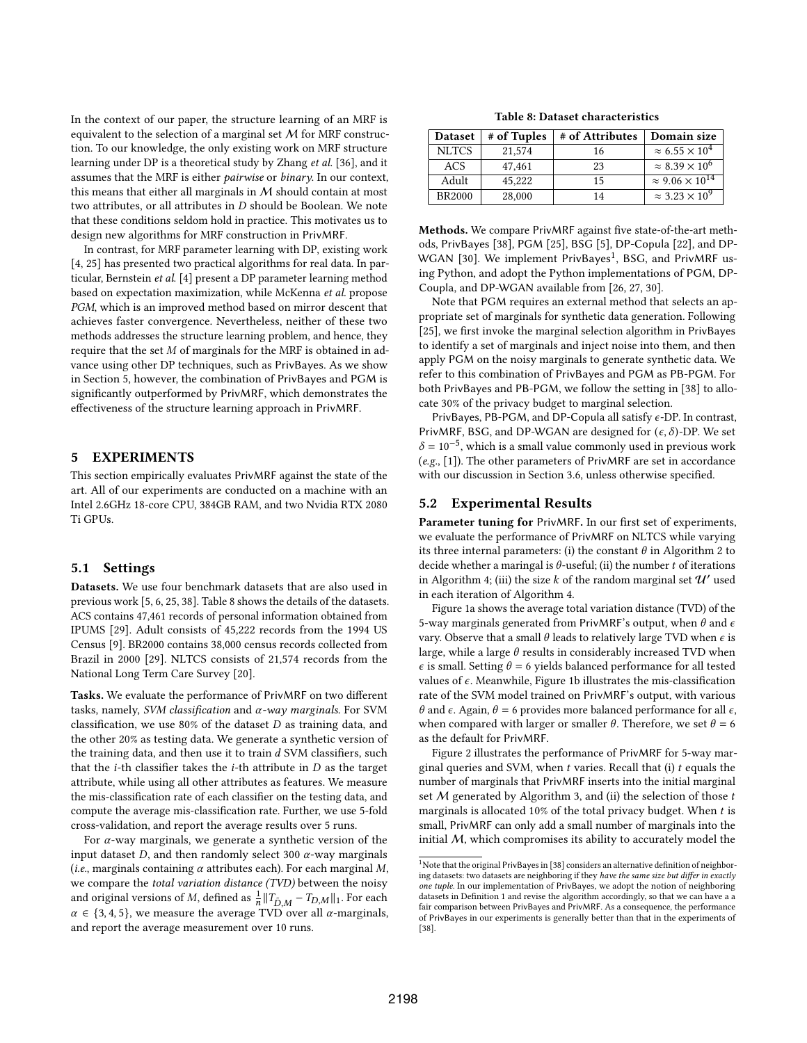In the context of our paper, the structure learning of an MRF is equivalent to the selection of a marginal set  $M$  for MRF construction. To our knowledge, the only existing work on MRF structure learning under DP is a theoretical study by Zhang et al. [36], and it assumes that the MRF is either pairwise or binary. In our context, this means that either all marginals in M should contain at most two attributes, or all attributes in  $D$  should be Boolean. We note that these conditions seldom hold in practice. This motivates us to design new algorithms for MRF construction in PrivMRF.

In contrast, for MRF parameter learning with DP, existing work [4, 25] has presented two practical algorithms for real data. In particular, Bernstein et al. [4] present a DP parameter learning method based on expectation maximization, while McKenna et al. propose PGM, which is an improved method based on mirror descent that achieves faster convergence. Nevertheless, neither of these two methods addresses the structure learning problem, and hence, they require that the set  $M$  of marginals for the MRF is obtained in advance using other DP techniques, such as PrivBayes. As we show in Section 5, however, the combination of PrivBayes and PGM is significantly outperformed by PrivMRF, which demonstrates the effectiveness of the structure learning approach in PrivMRF.

# 5 EXPERIMENTS

This section empirically evaluates PrivMRF against the state of the art. All of our experiments are conducted on a machine with an Intel 2.6GHz 18-core CPU, 384GB RAM, and two Nvidia RTX 2080 Ti GPUs.

#### 5.1 Settings

Datasets. We use four benchmark datasets that are also used in previous work [5, 6, 25, 38]. Table 8 shows the details of the datasets. ACS contains 47,461 records of personal information obtained from IPUMS [29]. Adult consists of 45,222 records from the 1994 US Census [9]. BR2000 contains 38,000 census records collected from Brazil in 2000 [29]. NLTCS consists of 21,574 records from the National Long Term Care Survey [20].

Tasks. We evaluate the performance of PrivMRF on two different tasks, namely, SVM classification and  $\alpha$ -way marginals. For SVM classification, we use  $80\%$  of the dataset  $D$  as training data, and the other 20% as testing data. We generate a synthetic version of the training data, and then use it to train  $d$  SVM classifiers, such that the  $i$ -th classifier takes the  $i$ -th attribute in  $D$  as the target attribute, while using all other attributes as features. We measure the mis-classification rate of each classifier on the testing data, and compute the average mis-classification rate. Further, we use 5-fold cross-validation, and report the average results over 5 runs.

For  $\alpha$ -way marginals, we generate a synthetic version of the input dataset  $D$ , and then randomly select 300  $\alpha$ -way marginals (*i.e.*, marginals containing  $\alpha$  attributes each). For each marginal M, we compare the total variation distance (TVD) between the noisy and original versions of M, defined as  $\frac{1}{n} ||T_{\tilde{D},M} - T_{D,M}||_1$ . For each  $\alpha \in \{3, 4, 5\}$ , we measure the average TVD over all  $\alpha$ -marginals, and report the average measurement over 10 runs.

Table 8: Dataset characteristics

| <b>Dataset</b> | # of Tuples | # of Attributes | Domain size                   |
|----------------|-------------|-----------------|-------------------------------|
| <b>NLTCS</b>   | 21,574      | 16              | $\approx 6.55 \times 10^4$    |
| <b>ACS</b>     | 47.461      | 23              | $\approx 8.39 \times 10^6$    |
| Adult          | 45,222      | 15              | $\approx 9.06 \times 10^{14}$ |
| <b>BR2000</b>  | 28,000      | 14              | $\approx 3.23 \times 10^9$    |

Methods. We compare PrivMRF against five state-of-the-art methods, PrivBayes [38], PGM [25], BSG [5], DP-Copula [22], and DP-WGAN [30]. We implement PrivBayes<sup>1</sup>, BSG, and PrivMRF using Python, and adopt the Python implementations of PGM, DP-Coupla, and DP-WGAN available from [26, 27, 30].

Note that PGM requires an external method that selects an appropriate set of marginals for synthetic data generation. Following [25], we first invoke the marginal selection algorithm in PrivBayes to identify a set of marginals and inject noise into them, and then apply PGM on the noisy marginals to generate synthetic data. We refer to this combination of PrivBayes and PGM as PB-PGM. For both PrivBayes and PB-PGM, we follow the setting in [38] to allocate 30% of the privacy budget to marginal selection.

PrivBayes, PB-PGM, and DP-Copula all satisfy  $\epsilon$ -DP. In contrast, PrivMRF, BSG, and DP-WGAN are designed for  $(\epsilon, \delta)$ -DP. We set  $\delta = 10^{-5}$ , which is a small value commonly used in previous work (e.g., [1]). The other parameters of PrivMRF are set in accordance with our discussion in Section 3.6, unless otherwise specified.

## 5.2 Experimental Results

Parameter tuning for PrivMRF. In our first set of experiments, we evaluate the performance of PrivMRF on NLTCS while varying its three internal parameters: (i) the constant  $\theta$  in Algorithm 2 to decide whether a maringal is  $\theta$ -useful; (ii) the number t of iterations in Algorithm 4; (iii) the size  $k$  of the random marginal set  $\mathcal{U}'$  used in each iteration of Algorithm 4.

Figure 1a shows the average total variation distance (TVD) of the 5-way marginals generated from PrivMRF's output, when  $\theta$  and  $\epsilon$ vary. Observe that a small  $\theta$  leads to relatively large TVD when  $\epsilon$  is large, while a large  $\theta$  results in considerably increased TVD when  $\epsilon$  is small. Setting  $\theta = 6$  yields balanced performance for all tested values of  $\epsilon$ . Meanwhile, Figure 1b illustrates the mis-classification rate of the SVM model trained on PrivMRF's output, with various  $\theta$  and  $\epsilon$ . Again,  $\theta = 6$  provides more balanced performance for all  $\epsilon$ , when compared with larger or smaller  $\theta$ . Therefore, we set  $\theta = 6$ as the default for PrivMRF.

Figure 2 illustrates the performance of PrivMRF for 5-way marginal queries and SVM, when  $t$  varies. Recall that (i)  $t$  equals the number of marginals that PrivMRF inserts into the initial marginal set  $M$  generated by Algorithm 3, and (ii) the selection of those  $t$ marginals is allocated 10% of the total privacy budget. When  $t$  is small, PrivMRF can only add a small number of marginals into the initial  $M$ , which compromises its ability to accurately model the

 $1$ Note that the original PrivBayes in [38] considers an alternative definition of neighboring datasets: two datasets are neighboring if they have the same size but differ in exactly one tuple. In our implementation of PrivBayes, we adopt the notion of neighboring datasets in Definition 1 and revise the algorithm accordingly, so that we can have a a fair comparison between PrivBayes and PrivMRF. As a consequence, the performance of PrivBayes in our experiments is generally better than that in the experiments of [38].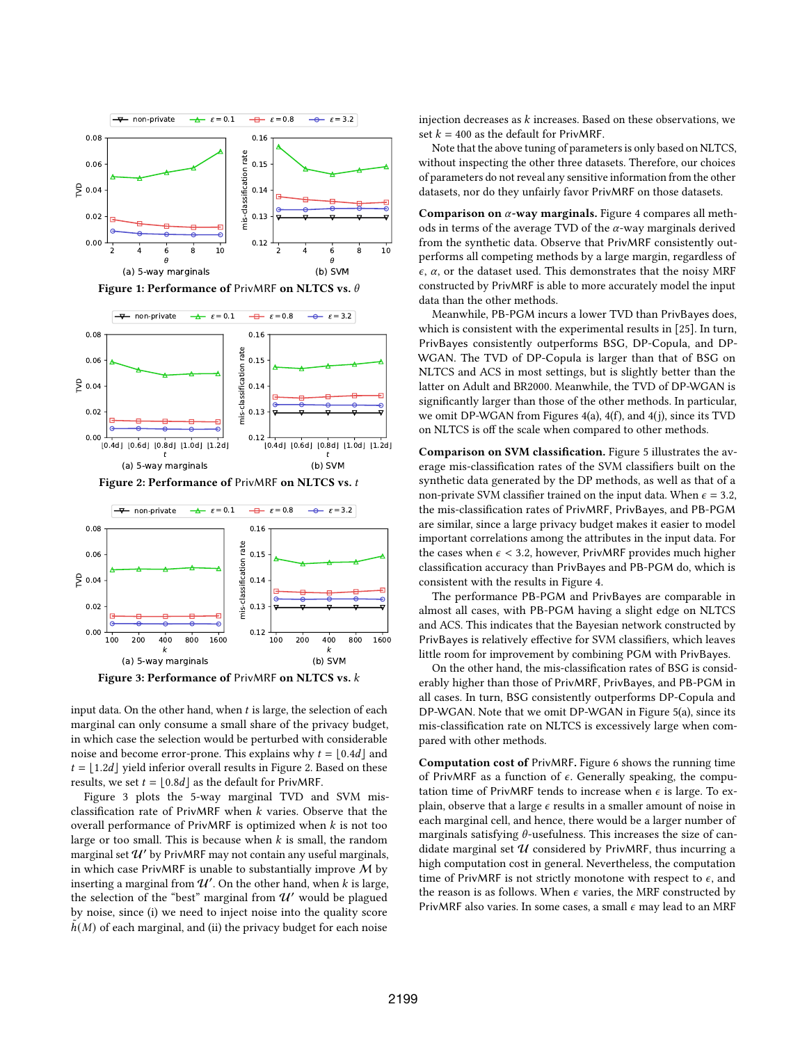







input data. On the other hand, when  $t$  is large, the selection of each marginal can only consume a small share of the privacy budget, in which case the selection would be perturbed with considerable noise and become error-prone. This explains why  $t = \lfloor 0.4d \rfloor$  and  $t = |1.2d|$  yield inferior overall results in Figure 2. Based on these results, we set  $t = \lfloor 0.8d \rfloor$  as the default for PrivMRF.

Figure 3 plots the 5-way marginal TVD and SVM misclassification rate of PrivMRF when  $k$  varies. Observe that the overall performance of PrivMRF is optimized when  $k$  is not too large or too small. This is because when  $k$  is small, the random marginal set  $\mathcal{U}'$  by PrivMRF may not contain any useful marginals, in which case PrivMRF is unable to substantially improve  $M$  by inserting a marginal from  $\mathcal{U}'$ . On the other hand, when k is large, the selection of the "best" marginal from  $\mathcal{U}'$  would be plagued by noise, since (i) we need to inject noise into the quality score  $h(M)$  of each marginal, and (ii) the privacy budget for each noise

injection decreases as  $k$  increases. Based on these observations, we set  $k = 400$  as the default for PrivMRF.

Note that the above tuning of parameters is only based on NLTCS, without inspecting the other three datasets. Therefore, our choices of parameters do not reveal any sensitive information from the other datasets, nor do they unfairly favor PrivMRF on those datasets.

Comparison on  $\alpha$ -way marginals. Figure 4 compares all methods in terms of the average TVD of the  $\alpha$ -way marginals derived from the synthetic data. Observe that PrivMRF consistently outperforms all competing methods by a large margin, regardless of  $\epsilon$ ,  $\alpha$ , or the dataset used. This demonstrates that the noisy MRF constructed by PrivMRF is able to more accurately model the input data than the other methods.

Meanwhile, PB-PGM incurs a lower TVD than PrivBayes does, which is consistent with the experimental results in [25]. In turn, PrivBayes consistently outperforms BSG, DP-Copula, and DP-WGAN. The TVD of DP-Copula is larger than that of BSG on NLTCS and ACS in most settings, but is slightly better than the latter on Adult and BR2000. Meanwhile, the TVD of DP-WGAN is significantly larger than those of the other methods. In particular, we omit DP-WGAN from Figures 4(a), 4(f), and 4(j), since its TVD on NLTCS is off the scale when compared to other methods.

Comparison on SVM classification. Figure 5 illustrates the average mis-classification rates of the SVM classifiers built on the synthetic data generated by the DP methods, as well as that of a non-private SVM classifier trained on the input data. When  $\epsilon = 3.2$ , the mis-classification rates of PrivMRF, PrivBayes, and PB-PGM are similar, since a large privacy budget makes it easier to model important correlations among the attributes in the input data. For the cases when  $\epsilon$  < 3.2, however, PrivMRF provides much higher classification accuracy than PrivBayes and PB-PGM do, which is consistent with the results in Figure 4.

The performance PB-PGM and PrivBayes are comparable in almost all cases, with PB-PGM having a slight edge on NLTCS and ACS. This indicates that the Bayesian network constructed by PrivBayes is relatively effective for SVM classifiers, which leaves little room for improvement by combining PGM with PrivBayes.

On the other hand, the mis-classification rates of BSG is considerably higher than those of PrivMRF, PrivBayes, and PB-PGM in all cases. In turn, BSG consistently outperforms DP-Copula and DP-WGAN. Note that we omit DP-WGAN in Figure 5(a), since its mis-classification rate on NLTCS is excessively large when compared with other methods.

Computation cost of PrivMRF. Figure 6 shows the running time of PrivMRF as a function of  $\epsilon$ . Generally speaking, the computation time of PrivMRF tends to increase when  $\epsilon$  is large. To explain, observe that a large  $\epsilon$  results in a smaller amount of noise in each marginal cell, and hence, there would be a larger number of marginals satisfying  $\theta$ -usefulness. This increases the size of candidate marginal set  $U$  considered by PrivMRF, thus incurring a high computation cost in general. Nevertheless, the computation time of PrivMRF is not strictly monotone with respect to  $\epsilon$ , and the reason is as follows. When  $\epsilon$  varies, the MRF constructed by PrivMRF also varies. In some cases, a small  $\epsilon$  may lead to an MRF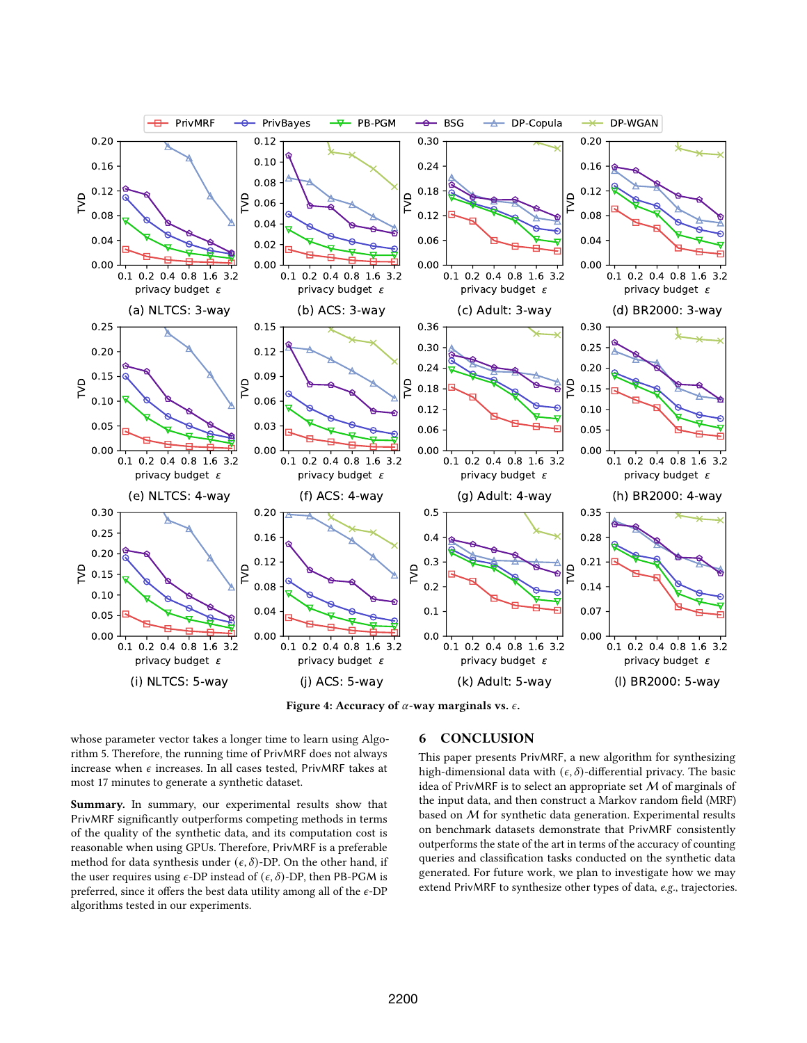

Figure 4: Accuracy of  $\alpha$ -way marginals vs.  $\epsilon$ .

whose parameter vector takes a longer time to learn using Algorithm 5. Therefore, the running time of PrivMRF does not always increase when  $\epsilon$  increases. In all cases tested, PrivMRF takes at most 17 minutes to generate a synthetic dataset.

Summary. In summary, our experimental results show that PrivMRF significantly outperforms competing methods in terms of the quality of the synthetic data, and its computation cost is reasonable when using GPUs. Therefore, PrivMRF is a preferable method for data synthesis under  $(\epsilon, \delta)$ -DP. On the other hand, if the user requires using  $\epsilon$ -DP instead of  $(\epsilon, \delta)$ -DP, then PB-PGM is preferred, since it offers the best data utility among all of the  $\epsilon\text{-DP}$ algorithms tested in our experiments.

# 6 CONCLUSION

This paper presents PrivMRF, a new algorithm for synthesizing high-dimensional data with  $(\epsilon, \delta)$ -differential privacy. The basic idea of PrivMRF is to select an appropriate set  $M$  of marginals of the input data, and then construct a Markov random field (MRF) based on M for synthetic data generation. Experimental results on benchmark datasets demonstrate that PrivMRF consistently outperforms the state of the art in terms of the accuracy of counting queries and classification tasks conducted on the synthetic data generated. For future work, we plan to investigate how we may extend PrivMRF to synthesize other types of data, e.g., trajectories.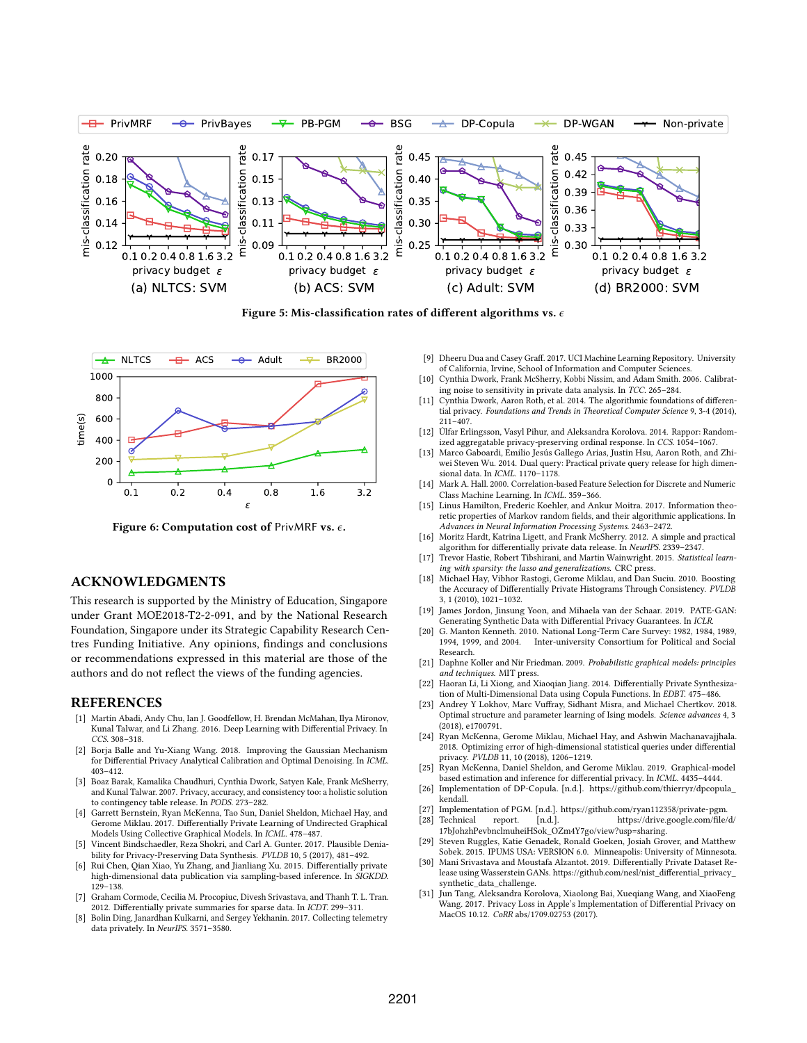

Figure 5: Mis-classification rates of different algorithms vs.  $\epsilon$ 



Figure 6: Computation cost of PrivMRF vs.  $\epsilon$ .

# ACKNOWLEDGMENTS

This research is supported by the Ministry of Education, Singapore under Grant MOE2018-T2-2-091, and by the National Research Foundation, Singapore under its Strategic Capability Research Centres Funding Initiative. Any opinions, findings and conclusions or recommendations expressed in this material are those of the authors and do not reflect the views of the funding agencies.

## **REFERENCES**

- [1] Martín Abadi, Andy Chu, Ian J. Goodfellow, H. Brendan McMahan, Ilya Mironov, Kunal Talwar, and Li Zhang. 2016. Deep Learning with Differential Privacy. In CCS. 308–318.
- [2] Borja Balle and Yu-Xiang Wang. 2018. Improving the Gaussian Mechanism for Differential Privacy Analytical Calibration and Optimal Denoising. In ICML. 403–412.
- [3] Boaz Barak, Kamalika Chaudhuri, Cynthia Dwork, Satyen Kale, Frank McSherry, and Kunal Talwar. 2007. Privacy, accuracy, and consistency too: a holistic solution to contingency table release. In PODS. 273–282.
- [4] Garrett Bernstein, Ryan McKenna, Tao Sun, Daniel Sheldon, Michael Hay, and Gerome Miklau. 2017. Differentially Private Learning of Undirected Graphical Models Using Collective Graphical Models. In ICML. 478–487.
- [5] Vincent Bindschaedler, Reza Shokri, and Carl A. Gunter. 2017. Plausible Deniability for Privacy-Preserving Data Synthesis. PVLDB 10, 5 (2017), 481–492.
- [6] Rui Chen, Qian Xiao, Yu Zhang, and Jianliang Xu. 2015. Differentially private high-dimensional data publication via sampling-based inference. In SIGKDD. 129–138.
- [7] Graham Cormode, Cecilia M. Procopiuc, Divesh Srivastava, and Thanh T. L. Tran. 2012. Differentially private summaries for sparse data. In ICDT. 299–311.
- [8] Bolin Ding, Janardhan Kulkarni, and Sergey Yekhanin. 2017. Collecting telemetry data privately. In NeurIPS. 3571–3580.
- [9] Dheeru Dua and Casey Graff. 2017. UCI Machine Learning Repository. University of California, Irvine, School of Information and Computer Sciences.
- [10] Cynthia Dwork, Frank McSherry, Kobbi Nissim, and Adam Smith. 2006. Calibrating noise to sensitivity in private data analysis. In TCC. 265–284.
- Cynthia Dwork, Aaron Roth, et al. 2014. The algorithmic foundations of differential privacy. Foundations and Trends in Theoretical Computer Science 9, 3-4 (2014), 211–407.
- [12] Úlfar Erlingsson, Vasyl Pihur, and Aleksandra Korolova. 2014. Rappor: Randomized aggregatable privacy-preserving ordinal response. In CCS. 1054–1067.
- [13] Marco Gaboardi, Emilio Jesús Gallego Arias, Justin Hsu, Aaron Roth, and Zhiwei Steven Wu. 2014. Dual query: Practical private query release for high dimensional data. In ICML. 1170–1178.
- [14] Mark A. Hall. 2000. Correlation-based Feature Selection for Discrete and Numeric Class Machine Learning. In ICML. 359–366.
- [15] Linus Hamilton, Frederic Koehler, and Ankur Moitra. 2017. Information theoretic properties of Markov random fields, and their algorithmic applications. In Advances in Neural Information Processing Systems. 2463–2472.
- [16] Moritz Hardt, Katrina Ligett, and Frank McSherry. 2012. A simple and practical algorithm for differentially private data release. In NeurIPS. 2339–2347.
- [17] Trevor Hastie, Robert Tibshirani, and Martin Wainwright. 2015. Statistical learning with sparsity: the lasso and generalizations. CRC press.
- [18] Michael Hay, Vibhor Rastogi, Gerome Miklau, and Dan Suciu. 2010. Boosting the Accuracy of Differentially Private Histograms Through Consistency. PVLDB 3, 1 (2010), 1021–1032.
- [19] James Jordon, Jinsung Yoon, and Mihaela van der Schaar. 2019. PATE-GAN: Generating Synthetic Data with Differential Privacy Guarantees. In ICLR.
- [20] G. Manton Kenneth. 2010. National Long-Term Care Survey: 1982, 1984, 1989, 1994, 1999, and 2004. Inter-university Consortium for Political and Social Research.
- [21] Daphne Koller and Nir Friedman. 2009. Probabilistic graphical models: principles and techniques. MIT press.
- [22] Haoran Li, Li Xiong, and Xiaoqian Jiang. 2014. Differentially Private Synthesization of Multi-Dimensional Data using Copula Functions. In EDBT. 475–486.
- [23] Andrey Y Lokhov, Marc Vuffray, Sidhant Misra, and Michael Chertkov. 2018. Optimal structure and parameter learning of Ising models. Science advances 4, 3 (2018), e1700791.
- [24] Ryan McKenna, Gerome Miklau, Michael Hay, and Ashwin Machanavajjhala. 2018. Optimizing error of high-dimensional statistical queries under differential privacy. PVLDB 11, 10 (2018), 1206–1219.
- [25] Ryan McKenna, Daniel Sheldon, and Gerome Miklau. 2019. Graphical-model based estimation and inference for differential privacy. In ICML. 4435–4444.
- [26] Implementation of DP-Copula. [n.d.]. [https://github.com/thierryr/dpcopula\\_](https://github.com/thierryr/dpcopula_kendall) [kendall.](https://github.com/thierryr/dpcopula_kendall)
- [27] Implementation of PGM. [n.d.]. [https://github.com/ryan112358/private-pgm.](https://github.com/ryan112358/private-pgm) [https://drive.google.com/file/d/](https://drive.google.com/file/d/17bJohzhPevbnclmuheiHSok_OZm4Y7go/view?usp=sharing) [17bJohzhPevbnclmuheiHSok\\_OZm4Y7go/view?usp=sharing.](https://drive.google.com/file/d/17bJohzhPevbnclmuheiHSok_OZm4Y7go/view?usp=sharing)
- [29] Steven Ruggles, Katie Genadek, Ronald Goeken, Josiah Grover, and Matthew Sobek. 2015. IPUMS USA: VERSION 6.0. Minneapolis: University of Minnesota.
- [30] Mani Srivastava and Moustafa Alzantot. 2019. Differentially Private Dataset Release using Wasserstein GANs. [https://github.com/nesl/nist\\_differential\\_privacy\\_](https://github.com/nesl/nist_differential_privacy_synthetic_data_challenge) [synthetic\\_data\\_challenge.](https://github.com/nesl/nist_differential_privacy_synthetic_data_challenge)
- [31] Jun Tang, Aleksandra Korolova, Xiaolong Bai, Xueqiang Wang, and XiaoFeng Wang. 2017. Privacy Loss in Apple's Implementation of Differential Privacy on MacOS 10.12. CoRR abs/1709.02753 (2017).